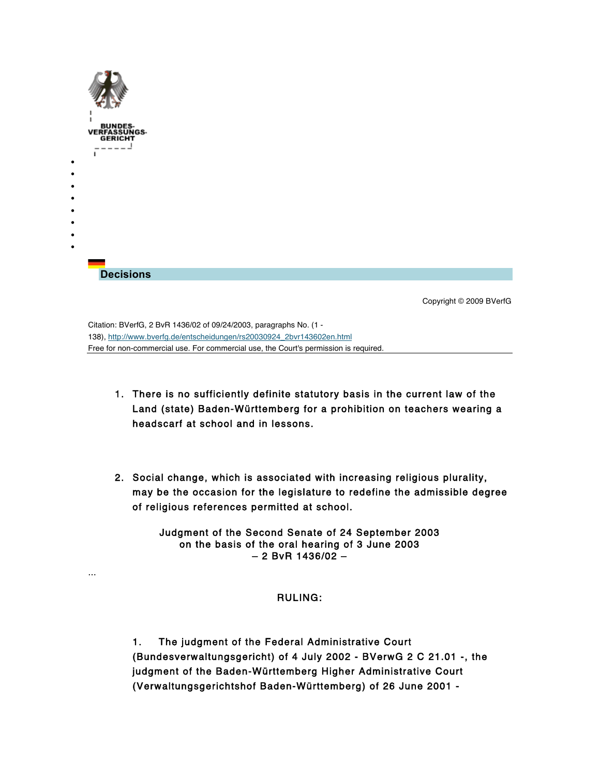| BUNDES-<br>VERFASSUNGS-<br><b>GERICH</b>                                                                                                                                                                                             |                         |
|--------------------------------------------------------------------------------------------------------------------------------------------------------------------------------------------------------------------------------------|-------------------------|
| ٠<br>٠<br>٠                                                                                                                                                                                                                          |                         |
|                                                                                                                                                                                                                                      |                         |
| ٠<br><b>Decisions</b>                                                                                                                                                                                                                |                         |
|                                                                                                                                                                                                                                      | Copyright © 2009 BVerfG |
| Citation: BVerfG, 2 BvR 1436/02 of 09/24/2003, paragraphs No. (1 -<br>138), http://www.bverfg.de/entscheidungen/rs20030924_2bvr143602en.html<br>Free for non-commercial use. For commercial use, the Court's permission is required. |                         |

- 1. There is no sufficiently definite statutory basis in the current law of the Land (state) Baden-Württemberg for a prohibition on teachers wearing a headscarf at school and in lessons.
- 2. Social change, which is associated with increasing religious plurality, may be the occasion for the legislature to redefine the admissible degree of religious references permitted at school.

Judgment of the Second Senate of 24 September 2003 on the basis of the oral hearing of 3 June 2003 – 2 BvR 1436/02 –

# RULING:

...

1. The judgment of the Federal Administrative Court (Bundesverwaltungsgericht) of 4 July 2002 - BVerwG 2 C 21.01 -, the judgment of the Baden-Württemberg Higher Administrative Court (Verwaltungsgerichtshof Baden-Württemberg) of 26 June 2001 -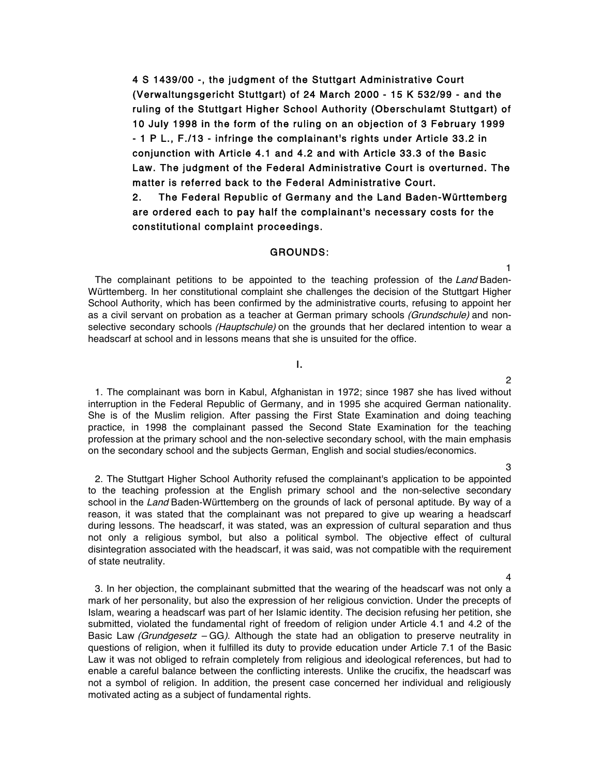4 S 1439/00 -, the judgment of the Stuttgart Administrative Court (Verwaltungsgericht Stuttgart) of 24 March 2000 - 15 K 532/99 - and the ruling of the Stuttgart Higher School Authority (Oberschulamt Stuttgart) of 10 July 1998 in the form of the ruling on an objection of 3 February 1999 - 1 P L., F./13 - infringe the complainant's rights under Article 33.2 in conjunction with Article 4.1 and 4.2 and with Article 33.3 of the Basic Law. The judgment of the Federal Administrative Court is overturned. The matter is referred back to the Federal Administrative Court.

2. The Federal Republic of Germany and the Land Baden-Württemberg are ordered each to pay half the complainant's necessary costs for the constitutional complaint proceedings.

# GROUNDS:

The complainant petitions to be appointed to the teaching profession of the Land Baden-Württemberg. In her constitutional complaint she challenges the decision of the Stuttgart Higher School Authority, which has been confirmed by the administrative courts, refusing to appoint her as a civil servant on probation as a teacher at German primary schools (Grundschule) and nonselective secondary schools (Hauptschule) on the grounds that her declared intention to wear a headscarf at school and in lessons means that she is unsuited for the office.

# I.

1. The complainant was born in Kabul, Afghanistan in 1972; since 1987 she has lived without interruption in the Federal Republic of Germany, and in 1995 she acquired German nationality. She is of the Muslim religion. After passing the First State Examination and doing teaching practice, in 1998 the complainant passed the Second State Examination for the teaching profession at the primary school and the non-selective secondary school, with the main emphasis on the secondary school and the subjects German, English and social studies/economics.

2. The Stuttgart Higher School Authority refused the complainant's application to be appointed to the teaching profession at the English primary school and the non-selective secondary school in the Land Baden-Württemberg on the grounds of lack of personal aptitude. By way of a reason, it was stated that the complainant was not prepared to give up wearing a headscarf during lessons. The headscarf, it was stated, was an expression of cultural separation and thus not only a religious symbol, but also a political symbol. The objective effect of cultural disintegration associated with the headscarf, it was said, was not compatible with the requirement of state neutrality.

3. In her objection, the complainant submitted that the wearing of the headscarf was not only a mark of her personality, but also the expression of her religious conviction. Under the precepts of Islam, wearing a headscarf was part of her Islamic identity. The decision refusing her petition, she submitted, violated the fundamental right of freedom of religion under Article 4.1 and 4.2 of the Basic Law (Grundgesetz  $-GG$ ). Although the state had an obligation to preserve neutrality in questions of religion, when it fulfilled its duty to provide education under Article 7.1 of the Basic Law it was not obliged to refrain completely from religious and ideological references, but had to enable a careful balance between the conflicting interests. Unlike the crucifix, the headscarf was not a symbol of religion. In addition, the present case concerned her individual and religiously motivated acting as a subject of fundamental rights.

#### 4

1

2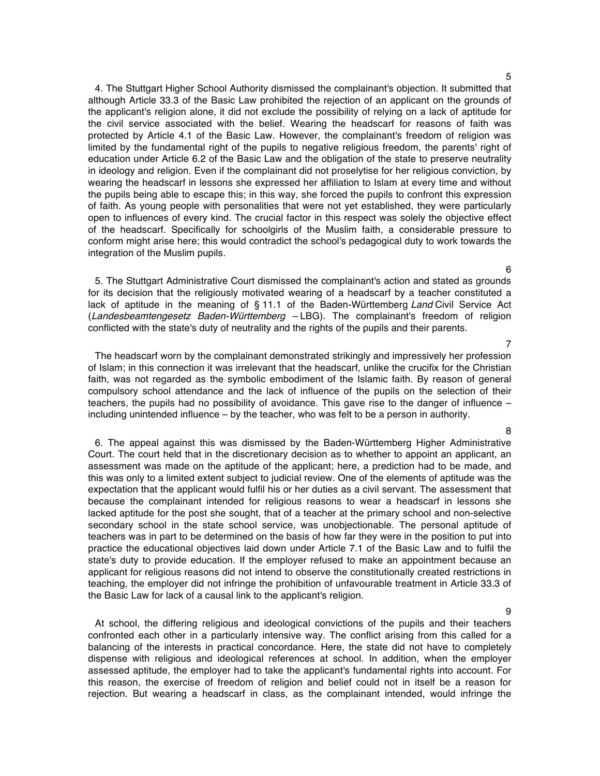4. The Stuttgart Higher School Authority dismissed the complainant's objection. It submitted that although Article 33.3 of the Basic Law prohibited the rejection of an applicant on the grounds of the applicant's religion alone, it did not exclude the possibility of relying on a lack of aptitude for the civil service associated with the belief. Wearing the headscarf for reasons of faith was protected by Article 4.1 of the Basic Law. However, the complainant's freedom of religion was limited by the fundamental right of the pupils to negative religious freedom, the parents' right of education under Article 6.2 of the Basic Law and the obligation of the state to preserve neutrality in ideology and religion. Even if the complainant did not proselytise for her religious conviction, by wearing the headscarf in lessons she expressed her affiliation to Islam at every time and without the pupils being able to escape this; in this way, she forced the pupils to confront this expression of faith. As young people with personalities that were not yet established, they were particularly open to influences of every kind. The crucial factor in this respect was solely the objective effect of the headscarf. Specifically for schoolgirls of the Muslim faith, a considerable pressure to conform might arise here; this would contradict the school's pedagogical duty to work towards the integration of the Muslim pupils.

5. The Stuttgart Administrative Court dismissed the complainant's action and stated as grounds for its decision that the religiously motivated wearing of a headscarf by a teacher constituted a lack of aptitude in the meaning of § 11.1 of the Baden-Württemberg Land Civil Service Act (Landesbeamtengesetz Baden-Württemberg – LBG). The complainant's freedom of religion conflicted with the state's duty of neutrality and the rights of the pupils and their parents.

The headscarf worn by the complainant demonstrated strikingly and impressively her profession of Islam; in this connection it was irrelevant that the headscarf, unlike the crucifix for the Christian faith, was not regarded as the symbolic embodiment of the Islamic faith. By reason of general compulsory school attendance and the lack of influence of the pupils on the selection of their teachers, the pupils had no possibility of avoidance. This gave rise to the danger of influence – including unintended influence – by the teacher, who was felt to be a person in authority.

6. The appeal against this was dismissed by the Baden-Württemberg Higher Administrative Court. The court held that in the discretionary decision as to whether to appoint an applicant, an assessment was made on the aptitude of the applicant; here, a prediction had to be made, and this was only to a limited extent subject to judicial review. One of the elements of aptitude was the expectation that the applicant would fulfil his or her duties as a civil servant. The assessment that because the complainant intended for religious reasons to wear a headscarf in lessons she lacked aptitude for the post she sought, that of a teacher at the primary school and non-selective secondary school in the state school service, was unobjectionable. The personal aptitude of teachers was in part to be determined on the basis of how far they were in the position to put into practice the educational objectives laid down under Article 7.1 of the Basic Law and to fulfil the state's duty to provide education. If the employer refused to make an appointment because an applicant for religious reasons did not intend to observe the constitutionally created restrictions in teaching, the employer did not infringe the prohibition of unfavourable treatment in Article 33.3 of the Basic Law for lack of a causal link to the applicant's religion.

At school, the differing religious and ideological convictions of the pupils and their teachers confronted each other in a particularly intensive way. The conflict arising from this called for a balancing of the interests in practical concordance. Here, the state did not have to completely dispense with religious and ideological references at school. In addition, when the employer assessed aptitude, the employer had to take the applicant's fundamental rights into account. For this reason, the exercise of freedom of religion and belief could not in itself be a reason for rejection. But wearing a headscarf in class, as the complainant intended, would infringe the

6

7

8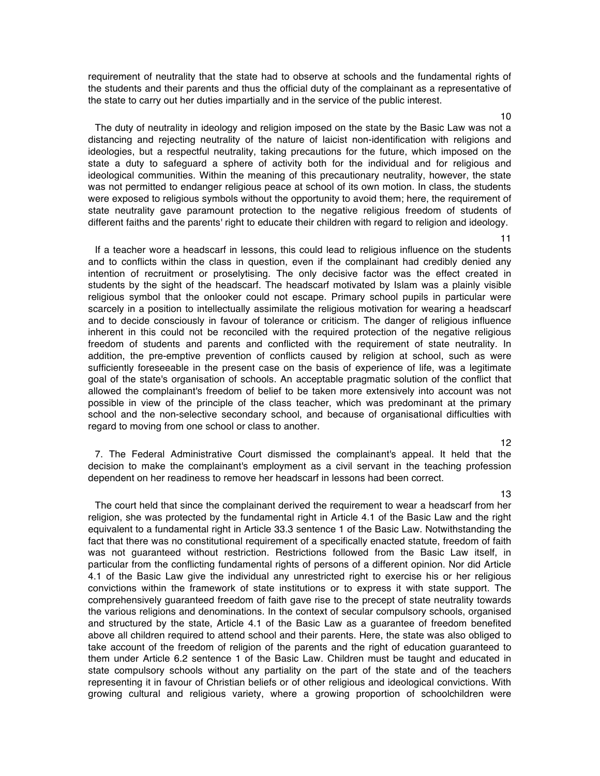requirement of neutrality that the state had to observe at schools and the fundamental rights of the students and their parents and thus the official duty of the complainant as a representative of the state to carry out her duties impartially and in the service of the public interest.

The duty of neutrality in ideology and religion imposed on the state by the Basic Law was not a distancing and rejecting neutrality of the nature of laicist non-identification with religions and ideologies, but a respectful neutrality, taking precautions for the future, which imposed on the state a duty to safeguard a sphere of activity both for the individual and for religious and ideological communities. Within the meaning of this precautionary neutrality, however, the state was not permitted to endanger religious peace at school of its own motion. In class, the students were exposed to religious symbols without the opportunity to avoid them; here, the requirement of state neutrality gave paramount protection to the negative religious freedom of students of different faiths and the parents' right to educate their children with regard to religion and ideology.

If a teacher wore a headscarf in lessons, this could lead to religious influence on the students and to conflicts within the class in question, even if the complainant had credibly denied any intention of recruitment or proselytising. The only decisive factor was the effect created in students by the sight of the headscarf. The headscarf motivated by Islam was a plainly visible religious symbol that the onlooker could not escape. Primary school pupils in particular were scarcely in a position to intellectually assimilate the religious motivation for wearing a headscarf and to decide consciously in favour of tolerance or criticism. The danger of religious influence inherent in this could not be reconciled with the required protection of the negative religious freedom of students and parents and conflicted with the requirement of state neutrality. In addition, the pre-emptive prevention of conflicts caused by religion at school, such as were sufficiently foreseeable in the present case on the basis of experience of life, was a legitimate goal of the state's organisation of schools. An acceptable pragmatic solution of the conflict that allowed the complainant's freedom of belief to be taken more extensively into account was not possible in view of the principle of the class teacher, which was predominant at the primary school and the non-selective secondary school, and because of organisational difficulties with regard to moving from one school or class to another.

12

13

7. The Federal Administrative Court dismissed the complainant's appeal. It held that the decision to make the complainant's employment as a civil servant in the teaching profession dependent on her readiness to remove her headscarf in lessons had been correct.

The court held that since the complainant derived the requirement to wear a headscarf from her religion, she was protected by the fundamental right in Article 4.1 of the Basic Law and the right equivalent to a fundamental right in Article 33.3 sentence 1 of the Basic Law. Notwithstanding the fact that there was no constitutional requirement of a specifically enacted statute, freedom of faith was not guaranteed without restriction. Restrictions followed from the Basic Law itself, in particular from the conflicting fundamental rights of persons of a different opinion. Nor did Article 4.1 of the Basic Law give the individual any unrestricted right to exercise his or her religious convictions within the framework of state institutions or to express it with state support. The comprehensively guaranteed freedom of faith gave rise to the precept of state neutrality towards the various religions and denominations. In the context of secular compulsory schools, organised and structured by the state, Article 4.1 of the Basic Law as a guarantee of freedom benefited above all children required to attend school and their parents. Here, the state was also obliged to take account of the freedom of religion of the parents and the right of education guaranteed to them under Article 6.2 sentence 1 of the Basic Law. Children must be taught and educated in state compulsory schools without any partiality on the part of the state and of the teachers representing it in favour of Christian beliefs or of other religious and ideological convictions. With growing cultural and religious variety, where a growing proportion of schoolchildren were

#### 10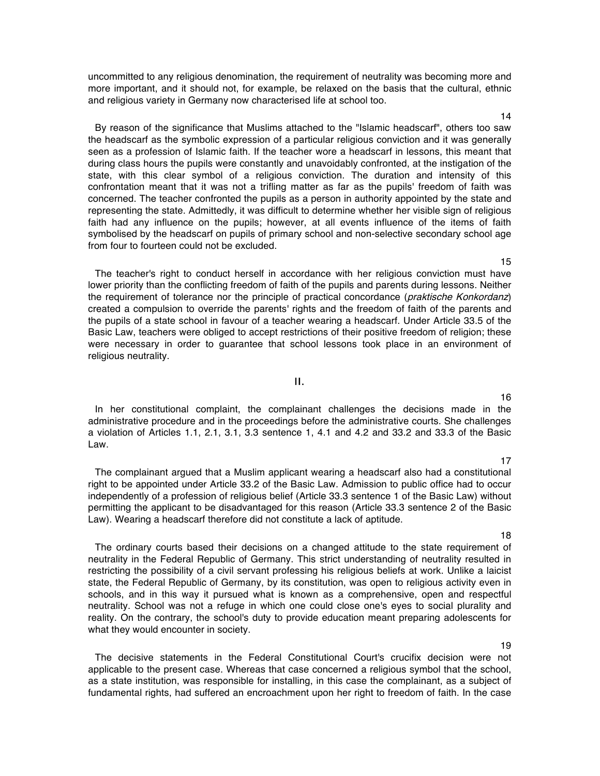uncommitted to any religious denomination, the requirement of neutrality was becoming more and more important, and it should not, for example, be relaxed on the basis that the cultural, ethnic and religious variety in Germany now characterised life at school too.

By reason of the significance that Muslims attached to the "Islamic headscarf", others too saw the headscarf as the symbolic expression of a particular religious conviction and it was generally seen as a profession of Islamic faith. If the teacher wore a headscarf in lessons, this meant that during class hours the pupils were constantly and unavoidably confronted, at the instigation of the state, with this clear symbol of a religious conviction. The duration and intensity of this confrontation meant that it was not a trifling matter as far as the pupils' freedom of faith was concerned. The teacher confronted the pupils as a person in authority appointed by the state and representing the state. Admittedly, it was difficult to determine whether her visible sign of religious faith had any influence on the pupils; however, at all events influence of the items of faith symbolised by the headscarf on pupils of primary school and non-selective secondary school age from four to fourteen could not be excluded.

The teacher's right to conduct herself in accordance with her religious conviction must have lower priority than the conflicting freedom of faith of the pupils and parents during lessons. Neither the requirement of tolerance nor the principle of practical concordance (praktische Konkordanz) created a compulsion to override the parents' rights and the freedom of faith of the parents and the pupils of a state school in favour of a teacher wearing a headscarf. Under Article 33.5 of the Basic Law, teachers were obliged to accept restrictions of their positive freedom of religion; these were necessary in order to guarantee that school lessons took place in an environment of religious neutrality.

#### II.

In her constitutional complaint, the complainant challenges the decisions made in the administrative procedure and in the proceedings before the administrative courts. She challenges a violation of Articles 1.1, 2.1, 3.1, 3.3 sentence 1, 4.1 and 4.2 and 33.2 and 33.3 of the Basic Law.

The complainant argued that a Muslim applicant wearing a headscarf also had a constitutional right to be appointed under Article 33.2 of the Basic Law. Admission to public office had to occur independently of a profession of religious belief (Article 33.3 sentence 1 of the Basic Law) without permitting the applicant to be disadvantaged for this reason (Article 33.3 sentence 2 of the Basic Law). Wearing a headscarf therefore did not constitute a lack of aptitude.

The ordinary courts based their decisions on a changed attitude to the state requirement of neutrality in the Federal Republic of Germany. This strict understanding of neutrality resulted in restricting the possibility of a civil servant professing his religious beliefs at work. Unlike a laicist state, the Federal Republic of Germany, by its constitution, was open to religious activity even in schools, and in this way it pursued what is known as a comprehensive, open and respectful neutrality. School was not a refuge in which one could close one's eyes to social plurality and reality. On the contrary, the school's duty to provide education meant preparing adolescents for what they would encounter in society.

The decisive statements in the Federal Constitutional Court's crucifix decision were not applicable to the present case. Whereas that case concerned a religious symbol that the school, as a state institution, was responsible for installing, in this case the complainant, as a subject of fundamental rights, had suffered an encroachment upon her right to freedom of faith. In the case

18

19

# 16

17

15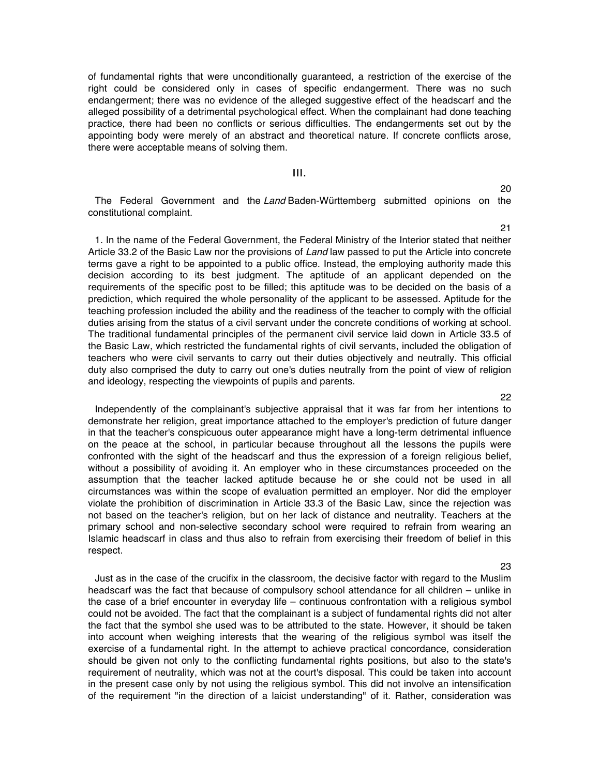of fundamental rights that were unconditionally guaranteed, a restriction of the exercise of the right could be considered only in cases of specific endangerment. There was no such endangerment; there was no evidence of the alleged suggestive effect of the headscarf and the alleged possibility of a detrimental psychological effect. When the complainant had done teaching practice, there had been no conflicts or serious difficulties. The endangerments set out by the appointing body were merely of an abstract and theoretical nature. If concrete conflicts arose, there were acceptable means of solving them.

# III.

The Federal Government and the Land Baden-Württemberg submitted opinions on the constitutional complaint.

1. In the name of the Federal Government, the Federal Ministry of the Interior stated that neither Article 33.2 of the Basic Law nor the provisions of Land law passed to put the Article into concrete terms gave a right to be appointed to a public office. Instead, the employing authority made this decision according to its best judgment. The aptitude of an applicant depended on the requirements of the specific post to be filled; this aptitude was to be decided on the basis of a prediction, which required the whole personality of the applicant to be assessed. Aptitude for the teaching profession included the ability and the readiness of the teacher to comply with the official duties arising from the status of a civil servant under the concrete conditions of working at school. The traditional fundamental principles of the permanent civil service laid down in Article 33.5 of the Basic Law, which restricted the fundamental rights of civil servants, included the obligation of teachers who were civil servants to carry out their duties objectively and neutrally. This official duty also comprised the duty to carry out one's duties neutrally from the point of view of religion and ideology, respecting the viewpoints of pupils and parents.

Independently of the complainant's subjective appraisal that it was far from her intentions to demonstrate her religion, great importance attached to the employer's prediction of future danger in that the teacher's conspicuous outer appearance might have a long-term detrimental influence on the peace at the school, in particular because throughout all the lessons the pupils were confronted with the sight of the headscarf and thus the expression of a foreign religious belief, without a possibility of avoiding it. An employer who in these circumstances proceeded on the assumption that the teacher lacked aptitude because he or she could not be used in all circumstances was within the scope of evaluation permitted an employer. Nor did the employer violate the prohibition of discrimination in Article 33.3 of the Basic Law, since the rejection was not based on the teacher's religion, but on her lack of distance and neutrality. Teachers at the primary school and non-selective secondary school were required to refrain from wearing an Islamic headscarf in class and thus also to refrain from exercising their freedom of belief in this respect.

23

20

21

22

Just as in the case of the crucifix in the classroom, the decisive factor with regard to the Muslim headscarf was the fact that because of compulsory school attendance for all children – unlike in the case of a brief encounter in everyday life – continuous confrontation with a religious symbol could not be avoided. The fact that the complainant is a subject of fundamental rights did not alter the fact that the symbol she used was to be attributed to the state. However, it should be taken into account when weighing interests that the wearing of the religious symbol was itself the exercise of a fundamental right. In the attempt to achieve practical concordance, consideration should be given not only to the conflicting fundamental rights positions, but also to the state's requirement of neutrality, which was not at the court's disposal. This could be taken into account in the present case only by not using the religious symbol. This did not involve an intensification of the requirement "in the direction of a laicist understanding" of it. Rather, consideration was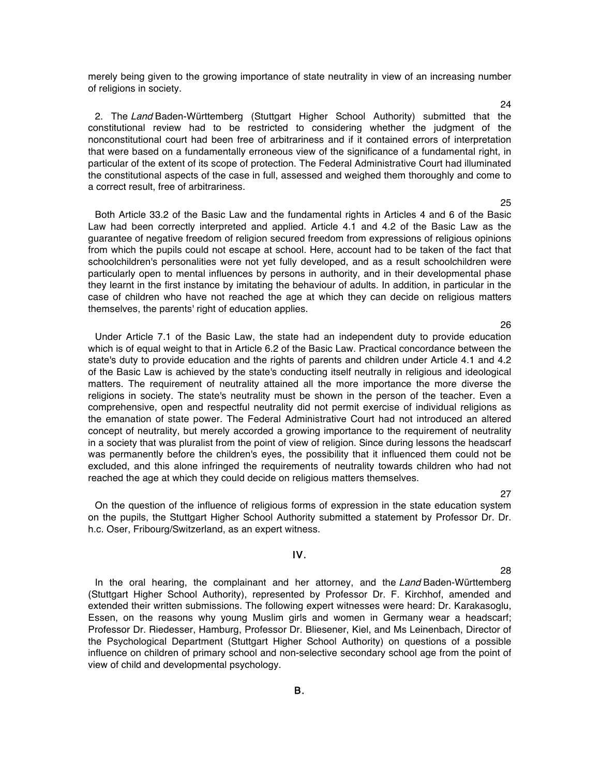merely being given to the growing importance of state neutrality in view of an increasing number of religions in society.

2. The Land Baden-Württemberg (Stuttgart Higher School Authority) submitted that the constitutional review had to be restricted to considering whether the judgment of the nonconstitutional court had been free of arbitrariness and if it contained errors of interpretation that were based on a fundamentally erroneous view of the significance of a fundamental right, in particular of the extent of its scope of protection. The Federal Administrative Court had illuminated the constitutional aspects of the case in full, assessed and weighed them thoroughly and come to a correct result, free of arbitrariness.

Both Article 33.2 of the Basic Law and the fundamental rights in Articles 4 and 6 of the Basic Law had been correctly interpreted and applied. Article 4.1 and 4.2 of the Basic Law as the guarantee of negative freedom of religion secured freedom from expressions of religious opinions from which the pupils could not escape at school. Here, account had to be taken of the fact that schoolchildren's personalities were not yet fully developed, and as a result schoolchildren were particularly open to mental influences by persons in authority, and in their developmental phase they learnt in the first instance by imitating the behaviour of adults. In addition, in particular in the case of children who have not reached the age at which they can decide on religious matters themselves, the parents' right of education applies.

Under Article 7.1 of the Basic Law, the state had an independent duty to provide education which is of equal weight to that in Article 6.2 of the Basic Law. Practical concordance between the state's duty to provide education and the rights of parents and children under Article 4.1 and 4.2 of the Basic Law is achieved by the state's conducting itself neutrally in religious and ideological matters. The requirement of neutrality attained all the more importance the more diverse the religions in society. The state's neutrality must be shown in the person of the teacher. Even a comprehensive, open and respectful neutrality did not permit exercise of individual religions as the emanation of state power. The Federal Administrative Court had not introduced an altered concept of neutrality, but merely accorded a growing importance to the requirement of neutrality in a society that was pluralist from the point of view of religion. Since during lessons the headscarf was permanently before the children's eyes, the possibility that it influenced them could not be excluded, and this alone infringed the requirements of neutrality towards children who had not reached the age at which they could decide on religious matters themselves.

On the question of the influence of religious forms of expression in the state education system on the pupils, the Stuttgart Higher School Authority submitted a statement by Professor Dr. Dr. h.c. Oser, Fribourg/Switzerland, as an expert witness.

## IV.

In the oral hearing, the complainant and her attorney, and the Land Baden-Württemberg (Stuttgart Higher School Authority), represented by Professor Dr. F. Kirchhof, amended and extended their written submissions. The following expert witnesses were heard: Dr. Karakasoglu, Essen, on the reasons why young Muslim girls and women in Germany wear a headscarf; Professor Dr. Riedesser, Hamburg, Professor Dr. Bliesener, Kiel, and Ms Leinenbach, Director of the Psychological Department (Stuttgart Higher School Authority) on questions of a possible influence on children of primary school and non-selective secondary school age from the point of view of child and developmental psychology.

28

27

25

#### 26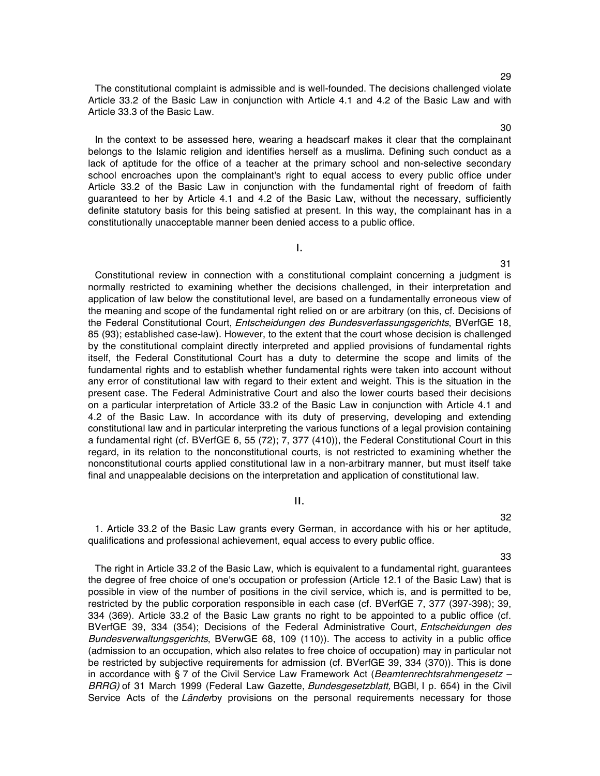The constitutional complaint is admissible and is well-founded. The decisions challenged violate Article 33.2 of the Basic Law in conjunction with Article 4.1 and 4.2 of the Basic Law and with Article 33.3 of the Basic Law.

In the context to be assessed here, wearing a headscarf makes it clear that the complainant belongs to the Islamic religion and identifies herself as a muslima. Defining such conduct as a lack of aptitude for the office of a teacher at the primary school and non-selective secondary school encroaches upon the complainant's right to equal access to every public office under Article 33.2 of the Basic Law in conjunction with the fundamental right of freedom of faith guaranteed to her by Article 4.1 and 4.2 of the Basic Law, without the necessary, sufficiently definite statutory basis for this being satisfied at present. In this way, the complainant has in a constitutionally unacceptable manner been denied access to a public office.

I.

Constitutional review in connection with a constitutional complaint concerning a judgment is normally restricted to examining whether the decisions challenged, in their interpretation and application of law below the constitutional level, are based on a fundamentally erroneous view of the meaning and scope of the fundamental right relied on or are arbitrary (on this, cf. Decisions of the Federal Constitutional Court, Entscheidungen des Bundesverfassungsgerichts, BVerfGE 18, 85 (93); established case-law). However, to the extent that the court whose decision is challenged by the constitutional complaint directly interpreted and applied provisions of fundamental rights itself, the Federal Constitutional Court has a duty to determine the scope and limits of the fundamental rights and to establish whether fundamental rights were taken into account without any error of constitutional law with regard to their extent and weight. This is the situation in the present case. The Federal Administrative Court and also the lower courts based their decisions on a particular interpretation of Article 33.2 of the Basic Law in conjunction with Article 4.1 and 4.2 of the Basic Law. In accordance with its duty of preserving, developing and extending constitutional law and in particular interpreting the various functions of a legal provision containing a fundamental right (cf. BVerfGE 6, 55 (72); 7, 377 (410)), the Federal Constitutional Court in this regard, in its relation to the nonconstitutional courts, is not restricted to examining whether the nonconstitutional courts applied constitutional law in a non-arbitrary manner, but must itself take final and unappealable decisions on the interpretation and application of constitutional law.

# II.

1. Article 33.2 of the Basic Law grants every German, in accordance with his or her aptitude, qualifications and professional achievement, equal access to every public office.

33

32

The right in Article 33.2 of the Basic Law, which is equivalent to a fundamental right, guarantees the degree of free choice of one's occupation or profession (Article 12.1 of the Basic Law) that is possible in view of the number of positions in the civil service, which is, and is permitted to be, restricted by the public corporation responsible in each case (cf. BVerfGE 7, 377 (397-398); 39, 334 (369). Article 33.2 of the Basic Law grants no right to be appointed to a public office (cf. BVerfGE 39, 334 (354); Decisions of the Federal Administrative Court, *Entscheidungen des* Bundesverwaltungsgerichts, BVerwGE 68, 109 (110)). The access to activity in a public office (admission to an occupation, which also relates to free choice of occupation) may in particular not be restricted by subjective requirements for admission (cf. BVerfGE 39, 334 (370)). This is done in accordance with § 7 of the Civil Service Law Framework Act (Beamtenrechtsrahmengesetz -BRRG) of 31 March 1999 (Federal Law Gazette, Bundesgesetzblatt, BGBI, I p. 654) in the Civil Service Acts of the Länderby provisions on the personal requirements necessary for those

# 30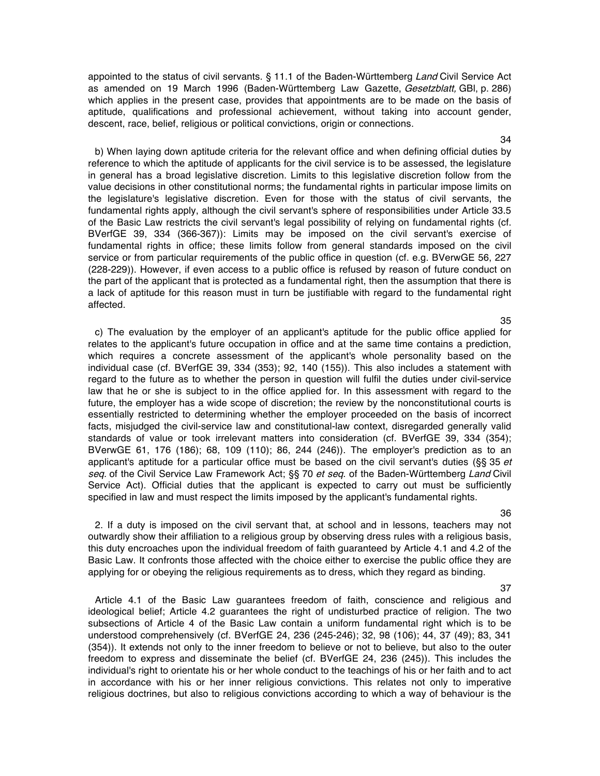appointed to the status of civil servants. § 11.1 of the Baden-Württemberg Land Civil Service Act as amended on 19 March 1996 (Baden-Württemberg Law Gazette, Gesetzblatt, GBI, p. 286) which applies in the present case, provides that appointments are to be made on the basis of aptitude, qualifications and professional achievement, without taking into account gender, descent, race, belief, religious or political convictions, origin or connections.

b) When laying down aptitude criteria for the relevant office and when defining official duties by reference to which the aptitude of applicants for the civil service is to be assessed, the legislature in general has a broad legislative discretion. Limits to this legislative discretion follow from the value decisions in other constitutional norms; the fundamental rights in particular impose limits on the legislature's legislative discretion. Even for those with the status of civil servants, the fundamental rights apply, although the civil servant's sphere of responsibilities under Article 33.5 of the Basic Law restricts the civil servant's legal possibility of relying on fundamental rights (cf. BVerfGE 39, 334 (366-367)): Limits may be imposed on the civil servant's exercise of fundamental rights in office; these limits follow from general standards imposed on the civil service or from particular requirements of the public office in question (cf. e.g. BVerwGE 56, 227 (228-229)). However, if even access to a public office is refused by reason of future conduct on the part of the applicant that is protected as a fundamental right, then the assumption that there is a lack of aptitude for this reason must in turn be justifiable with regard to the fundamental right affected.

c) The evaluation by the employer of an applicant's aptitude for the public office applied for relates to the applicant's future occupation in office and at the same time contains a prediction, which requires a concrete assessment of the applicant's whole personality based on the individual case (cf. BVerfGE 39, 334 (353); 92, 140 (155)). This also includes a statement with regard to the future as to whether the person in question will fulfil the duties under civil-service law that he or she is subject to in the office applied for. In this assessment with regard to the future, the employer has a wide scope of discretion; the review by the nonconstitutional courts is essentially restricted to determining whether the employer proceeded on the basis of incorrect facts, misjudged the civil-service law and constitutional-law context, disregarded generally valid standards of value or took irrelevant matters into consideration (cf. BVerfGE 39, 334 (354); BVerwGE 61, 176 (186); 68, 109 (110); 86, 244 (246)). The employer's prediction as to an applicant's aptitude for a particular office must be based on the civil servant's duties ( $\S$ § 35 et seq. of the Civil Service Law Framework Act; §§ 70 et seq. of the Baden-Württemberg Land Civil Service Act). Official duties that the applicant is expected to carry out must be sufficiently specified in law and must respect the limits imposed by the applicant's fundamental rights.

2. If a duty is imposed on the civil servant that, at school and in lessons, teachers may not outwardly show their affiliation to a religious group by observing dress rules with a religious basis, this duty encroaches upon the individual freedom of faith guaranteed by Article 4.1 and 4.2 of the Basic Law. It confronts those affected with the choice either to exercise the public office they are applying for or obeying the religious requirements as to dress, which they regard as binding.

Article 4.1 of the Basic Law guarantees freedom of faith, conscience and religious and ideological belief; Article 4.2 guarantees the right of undisturbed practice of religion. The two subsections of Article 4 of the Basic Law contain a uniform fundamental right which is to be understood comprehensively (cf. BVerfGE 24, 236 (245-246); 32, 98 (106); 44, 37 (49); 83, 341 (354)). It extends not only to the inner freedom to believe or not to believe, but also to the outer freedom to express and disseminate the belief (cf. BVerfGE 24, 236 (245)). This includes the individual's right to orientate his or her whole conduct to the teachings of his or her faith and to act in accordance with his or her inner religious convictions. This relates not only to imperative religious doctrines, but also to religious convictions according to which a way of behaviour is the

36

37

## 34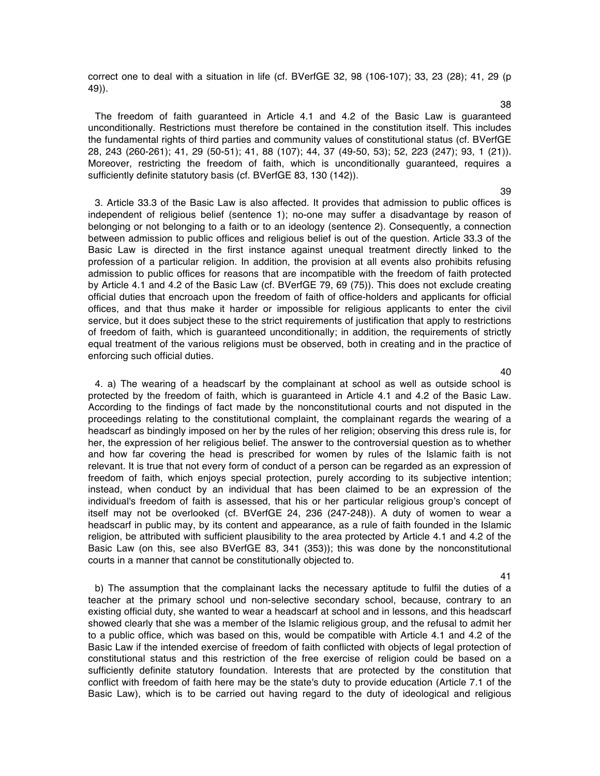correct one to deal with a situation in life (cf. BVerfGE 32, 98 (106-107); 33, 23 (28); 41, 29 (p 49)).

The freedom of faith guaranteed in Article 4.1 and 4.2 of the Basic Law is guaranteed unconditionally. Restrictions must therefore be contained in the constitution itself. This includes the fundamental rights of third parties and community values of constitutional status (cf. BVerfGE 28, 243 (260-261); 41, 29 (50-51); 41, 88 (107); 44, 37 (49-50, 53); 52, 223 (247); 93, 1 (21)). Moreover, restricting the freedom of faith, which is unconditionally guaranteed, requires a sufficiently definite statutory basis (cf. BVerfGE 83, 130 (142)).

3. Article 33.3 of the Basic Law is also affected. It provides that admission to public offices is independent of religious belief (sentence 1); no-one may suffer a disadvantage by reason of belonging or not belonging to a faith or to an ideology (sentence 2). Consequently, a connection between admission to public offices and religious belief is out of the question. Article 33.3 of the Basic Law is directed in the first instance against unequal treatment directly linked to the profession of a particular religion. In addition, the provision at all events also prohibits refusing admission to public offices for reasons that are incompatible with the freedom of faith protected by Article 4.1 and 4.2 of the Basic Law (cf. BVerfGE 79, 69 (75)). This does not exclude creating official duties that encroach upon the freedom of faith of office-holders and applicants for official offices, and that thus make it harder or impossible for religious applicants to enter the civil service, but it does subject these to the strict requirements of justification that apply to restrictions of freedom of faith, which is guaranteed unconditionally; in addition, the requirements of strictly equal treatment of the various religions must be observed, both in creating and in the practice of enforcing such official duties.

4. a) The wearing of a headscarf by the complainant at school as well as outside school is protected by the freedom of faith, which is guaranteed in Article 4.1 and 4.2 of the Basic Law. According to the findings of fact made by the nonconstitutional courts and not disputed in the proceedings relating to the constitutional complaint, the complainant regards the wearing of a headscarf as bindingly imposed on her by the rules of her religion; observing this dress rule is, for her, the expression of her religious belief. The answer to the controversial question as to whether and how far covering the head is prescribed for women by rules of the Islamic faith is not relevant. It is true that not every form of conduct of a person can be regarded as an expression of freedom of faith, which enjoys special protection, purely according to its subjective intention; instead, when conduct by an individual that has been claimed to be an expression of the individual's freedom of faith is assessed, that his or her particular religious group's concept of itself may not be overlooked (cf. BVerfGE 24, 236 (247-248)). A duty of women to wear a headscarf in public may, by its content and appearance, as a rule of faith founded in the Islamic religion, be attributed with sufficient plausibility to the area protected by Article 4.1 and 4.2 of the Basic Law (on this, see also BVerfGE 83, 341 (353)); this was done by the nonconstitutional courts in a manner that cannot be constitutionally objected to.

b) The assumption that the complainant lacks the necessary aptitude to fulfil the duties of a teacher at the primary school und non-selective secondary school, because, contrary to an existing official duty, she wanted to wear a headscarf at school and in lessons, and this headscarf showed clearly that she was a member of the Islamic religious group, and the refusal to admit her to a public office, which was based on this, would be compatible with Article 4.1 and 4.2 of the Basic Law if the intended exercise of freedom of faith conflicted with objects of legal protection of constitutional status and this restriction of the free exercise of religion could be based on a sufficiently definite statutory foundation. Interests that are protected by the constitution that conflict with freedom of faith here may be the state's duty to provide education (Article 7.1 of the Basic Law), which is to be carried out having regard to the duty of ideological and religious

40

41

#### 38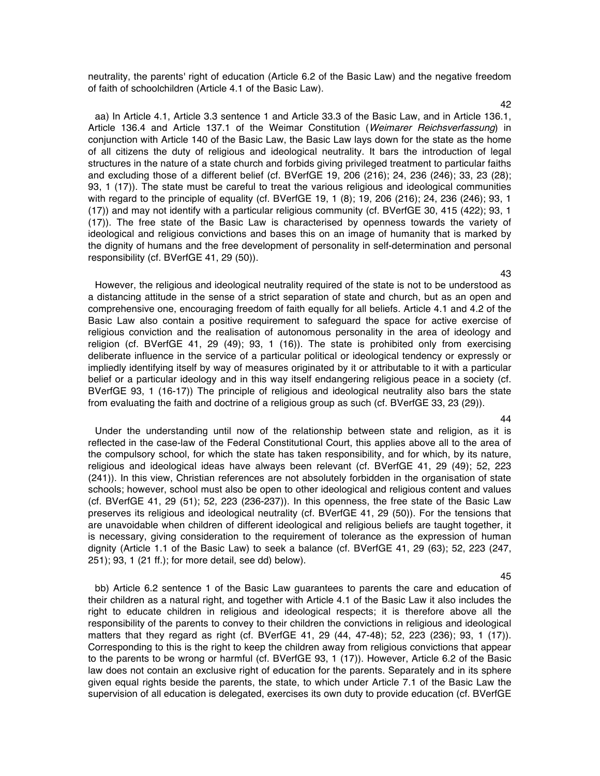neutrality, the parents' right of education (Article 6.2 of the Basic Law) and the negative freedom of faith of schoolchildren (Article 4.1 of the Basic Law).

aa) In Article 4.1, Article 3.3 sentence 1 and Article 33.3 of the Basic Law, and in Article 136.1, Article 136.4 and Article 137.1 of the Weimar Constitution (Weimarer Reichsverfassung) in conjunction with Article 140 of the Basic Law, the Basic Law lays down for the state as the home of all citizens the duty of religious and ideological neutrality. It bars the introduction of legal structures in the nature of a state church and forbids giving privileged treatment to particular faiths and excluding those of a different belief (cf. BVerfGE 19, 206 (216); 24, 236 (246); 33, 23 (28); 93, 1 (17)). The state must be careful to treat the various religious and ideological communities with regard to the principle of equality (cf. BVerfGE 19, 1 (8); 19, 206 (216); 24, 236 (246); 93, 1 (17)) and may not identify with a particular religious community (cf. BVerfGE 30, 415 (422); 93, 1 (17)). The free state of the Basic Law is characterised by openness towards the variety of ideological and religious convictions and bases this on an image of humanity that is marked by the dignity of humans and the free development of personality in self-determination and personal responsibility (cf. BVerfGE 41, 29 (50)).

However, the religious and ideological neutrality required of the state is not to be understood as a distancing attitude in the sense of a strict separation of state and church, but as an open and comprehensive one, encouraging freedom of faith equally for all beliefs. Article 4.1 and 4.2 of the Basic Law also contain a positive requirement to safeguard the space for active exercise of religious conviction and the realisation of autonomous personality in the area of ideology and religion (cf. BVerfGE 41, 29 (49); 93, 1 (16)). The state is prohibited only from exercising deliberate influence in the service of a particular political or ideological tendency or expressly or impliedly identifying itself by way of measures originated by it or attributable to it with a particular belief or a particular ideology and in this way itself endangering religious peace in a society (cf. BVerfGE 93, 1 (16-17)) The principle of religious and ideological neutrality also bars the state from evaluating the faith and doctrine of a religious group as such (cf. BVerfGE 33, 23 (29)).

Under the understanding until now of the relationship between state and religion, as it is reflected in the case-law of the Federal Constitutional Court, this applies above all to the area of the compulsory school, for which the state has taken responsibility, and for which, by its nature, religious and ideological ideas have always been relevant (cf. BVerfGE 41, 29 (49); 52, 223 (241)). In this view, Christian references are not absolutely forbidden in the organisation of state schools; however, school must also be open to other ideological and religious content and values (cf. BVerfGE 41, 29 (51); 52, 223 (236-237)). In this openness, the free state of the Basic Law preserves its religious and ideological neutrality (cf. BVerfGE 41, 29 (50)). For the tensions that are unavoidable when children of different ideological and religious beliefs are taught together, it is necessary, giving consideration to the requirement of tolerance as the expression of human dignity (Article 1.1 of the Basic Law) to seek a balance (cf. BVerfGE 41, 29 (63); 52, 223 (247, 251); 93, 1 (21 ff.); for more detail, see dd) below).

bb) Article 6.2 sentence 1 of the Basic Law guarantees to parents the care and education of their children as a natural right, and together with Article 4.1 of the Basic Law it also includes the right to educate children in religious and ideological respects; it is therefore above all the responsibility of the parents to convey to their children the convictions in religious and ideological matters that they regard as right (cf. BVerfGE 41, 29 (44, 47-48); 52, 223 (236); 93, 1 (17)). Corresponding to this is the right to keep the children away from religious convictions that appear to the parents to be wrong or harmful (cf. BVerfGE 93, 1 (17)). However, Article 6.2 of the Basic law does not contain an exclusive right of education for the parents. Separately and in its sphere given equal rights beside the parents, the state, to which under Article 7.1 of the Basic Law the supervision of all education is delegated, exercises its own duty to provide education (cf. BVerfGE

# 44

45

43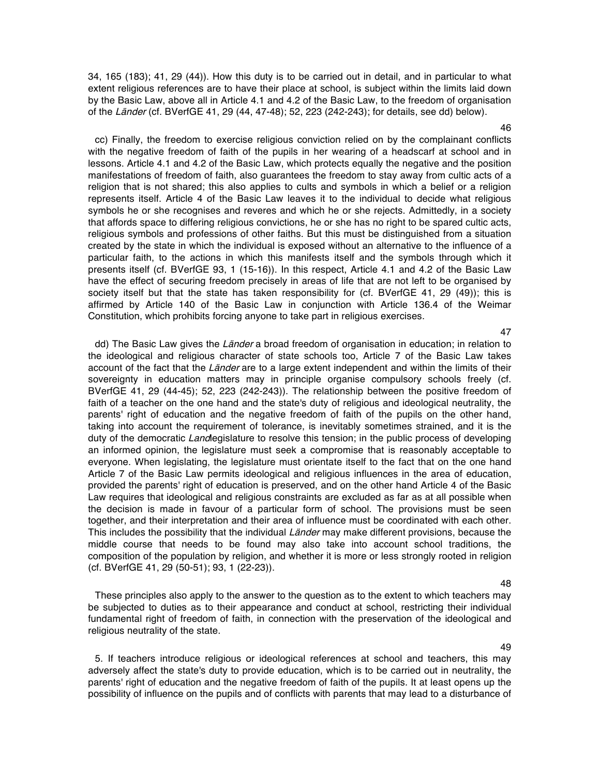34, 165 (183); 41, 29 (44)). How this duty is to be carried out in detail, and in particular to what extent religious references are to have their place at school, is subject within the limits laid down by the Basic Law, above all in Article 4.1 and 4.2 of the Basic Law, to the freedom of organisation of the Länder (cf. BVerfGE 41, 29 (44, 47-48); 52, 223 (242-243); for details, see dd) below).

cc) Finally, the freedom to exercise religious conviction relied on by the complainant conflicts with the negative freedom of faith of the pupils in her wearing of a headscarf at school and in lessons. Article 4.1 and 4.2 of the Basic Law, which protects equally the negative and the position manifestations of freedom of faith, also guarantees the freedom to stay away from cultic acts of a religion that is not shared; this also applies to cults and symbols in which a belief or a religion represents itself. Article 4 of the Basic Law leaves it to the individual to decide what religious symbols he or she recognises and reveres and which he or she rejects. Admittedly, in a society that affords space to differing religious convictions, he or she has no right to be spared cultic acts, religious symbols and professions of other faiths. But this must be distinguished from a situation created by the state in which the individual is exposed without an alternative to the influence of a particular faith, to the actions in which this manifests itself and the symbols through which it presents itself (cf. BVerfGE 93, 1 (15-16)). In this respect, Article 4.1 and 4.2 of the Basic Law have the effect of securing freedom precisely in areas of life that are not left to be organised by society itself but that the state has taken responsibility for (cf. BVerfGE 41, 29 (49)); this is affirmed by Article 140 of the Basic Law in conjunction with Article 136.4 of the Weimar Constitution, which prohibits forcing anyone to take part in religious exercises.

dd) The Basic Law gives the Länder a broad freedom of organisation in education; in relation to the ideological and religious character of state schools too, Article 7 of the Basic Law takes account of the fact that the Länder are to a large extent independent and within the limits of their sovereignty in education matters may in principle organise compulsory schools freely (cf. BVerfGE 41, 29 (44-45); 52, 223 (242-243)). The relationship between the positive freedom of faith of a teacher on the one hand and the state's duty of religious and ideological neutrality, the parents' right of education and the negative freedom of faith of the pupils on the other hand, taking into account the requirement of tolerance, is inevitably sometimes strained, and it is the duty of the democratic Landlegislature to resolve this tension; in the public process of developing an informed opinion, the legislature must seek a compromise that is reasonably acceptable to everyone. When legislating, the legislature must orientate itself to the fact that on the one hand Article 7 of the Basic Law permits ideological and religious influences in the area of education, provided the parents' right of education is preserved, and on the other hand Article 4 of the Basic Law requires that ideological and religious constraints are excluded as far as at all possible when the decision is made in favour of a particular form of school. The provisions must be seen together, and their interpretation and their area of influence must be coordinated with each other. This includes the possibility that the individual Länder may make different provisions, because the middle course that needs to be found may also take into account school traditions, the composition of the population by religion, and whether it is more or less strongly rooted in religion (cf. BVerfGE 41, 29 (50-51); 93, 1 (22-23)).

48

49

These principles also apply to the answer to the question as to the extent to which teachers may be subjected to duties as to their appearance and conduct at school, restricting their individual fundamental right of freedom of faith, in connection with the preservation of the ideological and religious neutrality of the state.

5. If teachers introduce religious or ideological references at school and teachers, this may adversely affect the state's duty to provide education, which is to be carried out in neutrality, the parents' right of education and the negative freedom of faith of the pupils. It at least opens up the possibility of influence on the pupils and of conflicts with parents that may lead to a disturbance of

46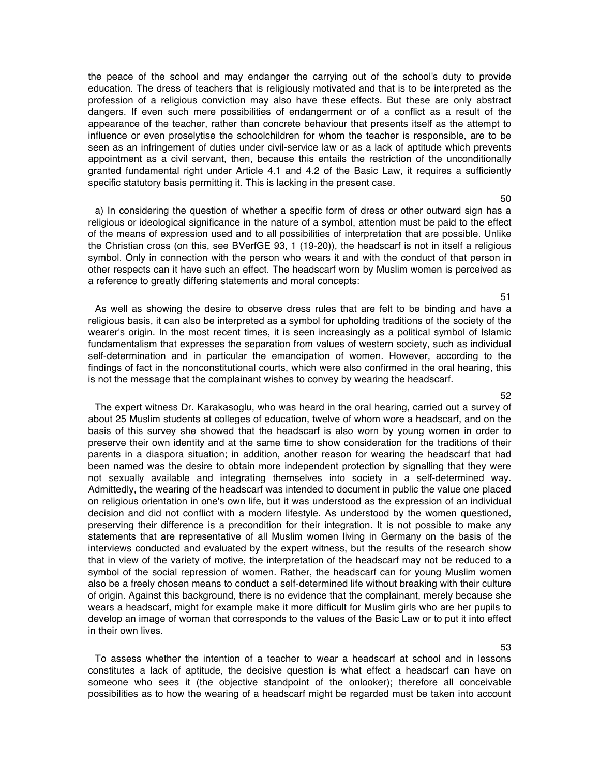the peace of the school and may endanger the carrying out of the school's duty to provide education. The dress of teachers that is religiously motivated and that is to be interpreted as the profession of a religious conviction may also have these effects. But these are only abstract dangers. If even such mere possibilities of endangerment or of a conflict as a result of the appearance of the teacher, rather than concrete behaviour that presents itself as the attempt to influence or even proselytise the schoolchildren for whom the teacher is responsible, are to be seen as an infringement of duties under civil-service law or as a lack of aptitude which prevents appointment as a civil servant, then, because this entails the restriction of the unconditionally granted fundamental right under Article 4.1 and 4.2 of the Basic Law, it requires a sufficiently specific statutory basis permitting it. This is lacking in the present case.

a) In considering the question of whether a specific form of dress or other outward sign has a religious or ideological significance in the nature of a symbol, attention must be paid to the effect of the means of expression used and to all possibilities of interpretation that are possible. Unlike the Christian cross (on this, see BVerfGE 93, 1 (19-20)), the headscarf is not in itself a religious symbol. Only in connection with the person who wears it and with the conduct of that person in other respects can it have such an effect. The headscarf worn by Muslim women is perceived as a reference to greatly differing statements and moral concepts:

As well as showing the desire to observe dress rules that are felt to be binding and have a religious basis, it can also be interpreted as a symbol for upholding traditions of the society of the wearer's origin. In the most recent times, it is seen increasingly as a political symbol of Islamic fundamentalism that expresses the separation from values of western society, such as individual self-determination and in particular the emancipation of women. However, according to the findings of fact in the nonconstitutional courts, which were also confirmed in the oral hearing, this is not the message that the complainant wishes to convey by wearing the headscarf.

The expert witness Dr. Karakasoglu, who was heard in the oral hearing, carried out a survey of about 25 Muslim students at colleges of education, twelve of whom wore a headscarf, and on the basis of this survey she showed that the headscarf is also worn by young women in order to preserve their own identity and at the same time to show consideration for the traditions of their parents in a diaspora situation; in addition, another reason for wearing the headscarf that had been named was the desire to obtain more independent protection by signalling that they were not sexually available and integrating themselves into society in a self-determined way. Admittedly, the wearing of the headscarf was intended to document in public the value one placed on religious orientation in one's own life, but it was understood as the expression of an individual decision and did not conflict with a modern lifestyle. As understood by the women questioned, preserving their difference is a precondition for their integration. It is not possible to make any statements that are representative of all Muslim women living in Germany on the basis of the interviews conducted and evaluated by the expert witness, but the results of the research show that in view of the variety of motive, the interpretation of the headscarf may not be reduced to a symbol of the social repression of women. Rather, the headscarf can for young Muslim women also be a freely chosen means to conduct a self-determined life without breaking with their culture of origin. Against this background, there is no evidence that the complainant, merely because she wears a headscarf, might for example make it more difficult for Muslim girls who are her pupils to develop an image of woman that corresponds to the values of the Basic Law or to put it into effect in their own lives.

To assess whether the intention of a teacher to wear a headscarf at school and in lessons constitutes a lack of aptitude, the decisive question is what effect a headscarf can have on someone who sees it (the objective standpoint of the onlooker); therefore all conceivable possibilities as to how the wearing of a headscarf might be regarded must be taken into account

## 50

51

52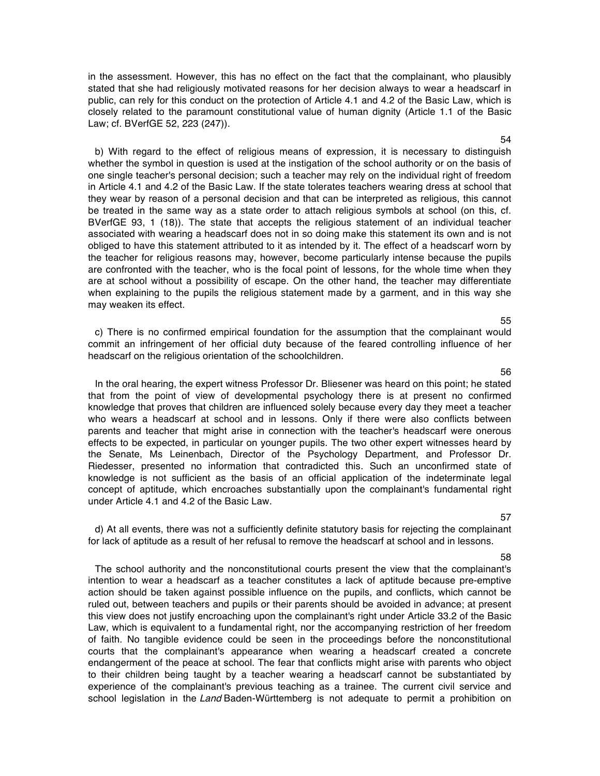in the assessment. However, this has no effect on the fact that the complainant, who plausibly stated that she had religiously motivated reasons for her decision always to wear a headscarf in public, can rely for this conduct on the protection of Article 4.1 and 4.2 of the Basic Law, which is closely related to the paramount constitutional value of human dignity (Article 1.1 of the Basic Law; cf. BVerfGE 52, 223 (247)).

b) With regard to the effect of religious means of expression, it is necessary to distinguish whether the symbol in question is used at the instigation of the school authority or on the basis of one single teacher's personal decision; such a teacher may rely on the individual right of freedom in Article 4.1 and 4.2 of the Basic Law. If the state tolerates teachers wearing dress at school that they wear by reason of a personal decision and that can be interpreted as religious, this cannot be treated in the same way as a state order to attach religious symbols at school (on this, cf. BVerfGE 93, 1 (18)). The state that accepts the religious statement of an individual teacher associated with wearing a headscarf does not in so doing make this statement its own and is not obliged to have this statement attributed to it as intended by it. The effect of a headscarf worn by the teacher for religious reasons may, however, become particularly intense because the pupils are confronted with the teacher, who is the focal point of lessons, for the whole time when they are at school without a possibility of escape. On the other hand, the teacher may differentiate when explaining to the pupils the religious statement made by a garment, and in this way she may weaken its effect.

c) There is no confirmed empirical foundation for the assumption that the complainant would commit an infringement of her official duty because of the feared controlling influence of her headscarf on the religious orientation of the schoolchildren.

In the oral hearing, the expert witness Professor Dr. Bliesener was heard on this point; he stated that from the point of view of developmental psychology there is at present no confirmed knowledge that proves that children are influenced solely because every day they meet a teacher who wears a headscarf at school and in lessons. Only if there were also conflicts between parents and teacher that might arise in connection with the teacher's headscarf were onerous effects to be expected, in particular on younger pupils. The two other expert witnesses heard by the Senate, Ms Leinenbach, Director of the Psychology Department, and Professor Dr. Riedesser, presented no information that contradicted this. Such an unconfirmed state of knowledge is not sufficient as the basis of an official application of the indeterminate legal concept of aptitude, which encroaches substantially upon the complainant's fundamental right under Article 4.1 and 4.2 of the Basic Law.

d) At all events, there was not a sufficiently definite statutory basis for rejecting the complainant for lack of aptitude as a result of her refusal to remove the headscarf at school and in lessons.

The school authority and the nonconstitutional courts present the view that the complainant's intention to wear a headscarf as a teacher constitutes a lack of aptitude because pre-emptive action should be taken against possible influence on the pupils, and conflicts, which cannot be ruled out, between teachers and pupils or their parents should be avoided in advance; at present this view does not justify encroaching upon the complainant's right under Article 33.2 of the Basic Law, which is equivalent to a fundamental right, nor the accompanying restriction of her freedom of faith. No tangible evidence could be seen in the proceedings before the nonconstitutional courts that the complainant's appearance when wearing a headscarf created a concrete endangerment of the peace at school. The fear that conflicts might arise with parents who object to their children being taught by a teacher wearing a headscarf cannot be substantiated by experience of the complainant's previous teaching as a trainee. The current civil service and school legislation in the Land Baden-Württemberg is not adequate to permit a prohibition on

# 57

#### 58

#### 55

56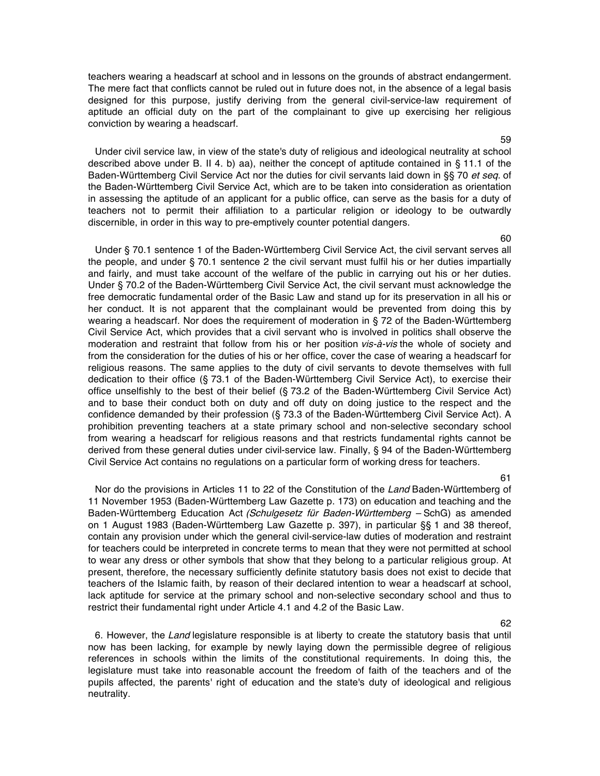teachers wearing a headscarf at school and in lessons on the grounds of abstract endangerment. The mere fact that conflicts cannot be ruled out in future does not, in the absence of a legal basis designed for this purpose, justify deriving from the general civil-service-law requirement of aptitude an official duty on the part of the complainant to give up exercising her religious conviction by wearing a headscarf.

Under civil service law, in view of the state's duty of religious and ideological neutrality at school described above under B. II 4. b) aa), neither the concept of aptitude contained in § 11.1 of the Baden-Württemberg Civil Service Act nor the duties for civil servants laid down in §§ 70 et seq. of the Baden-Württemberg Civil Service Act, which are to be taken into consideration as orientation in assessing the aptitude of an applicant for a public office, can serve as the basis for a duty of teachers not to permit their affiliation to a particular religion or ideology to be outwardly discernible, in order in this way to pre-emptively counter potential dangers.

Under § 70.1 sentence 1 of the Baden-Württemberg Civil Service Act, the civil servant serves all the people, and under § 70.1 sentence 2 the civil servant must fulfil his or her duties impartially and fairly, and must take account of the welfare of the public in carrying out his or her duties. Under § 70.2 of the Baden-Württemberg Civil Service Act, the civil servant must acknowledge the free democratic fundamental order of the Basic Law and stand up for its preservation in all his or her conduct. It is not apparent that the complainant would be prevented from doing this by wearing a headscarf. Nor does the requirement of moderation in § 72 of the Baden-Württemberg Civil Service Act, which provides that a civil servant who is involved in politics shall observe the moderation and restraint that follow from his or her position vis-à-vis the whole of society and from the consideration for the duties of his or her office, cover the case of wearing a headscarf for religious reasons. The same applies to the duty of civil servants to devote themselves with full dedication to their office (§ 73.1 of the Baden-Württemberg Civil Service Act), to exercise their office unselfishly to the best of their belief (§ 73.2 of the Baden-Württemberg Civil Service Act) and to base their conduct both on duty and off duty on doing justice to the respect and the confidence demanded by their profession (§ 73.3 of the Baden-Württemberg Civil Service Act). A prohibition preventing teachers at a state primary school and non-selective secondary school from wearing a headscarf for religious reasons and that restricts fundamental rights cannot be derived from these general duties under civil-service law. Finally, § 94 of the Baden-Württemberg Civil Service Act contains no regulations on a particular form of working dress for teachers.

61

62

Nor do the provisions in Articles 11 to 22 of the Constitution of the Land Baden-Württemberg of 11 November 1953 (Baden-Württemberg Law Gazette p. 173) on education and teaching and the Baden-Württemberg Education Act (Schulgesetz für Baden-Württemberg - SchG) as amended on 1 August 1983 (Baden-Württemberg Law Gazette p. 397), in particular §§ 1 and 38 thereof, contain any provision under which the general civil-service-law duties of moderation and restraint for teachers could be interpreted in concrete terms to mean that they were not permitted at school to wear any dress or other symbols that show that they belong to a particular religious group. At present, therefore, the necessary sufficiently definite statutory basis does not exist to decide that teachers of the Islamic faith, by reason of their declared intention to wear a headscarf at school, lack aptitude for service at the primary school and non-selective secondary school and thus to restrict their fundamental right under Article 4.1 and 4.2 of the Basic Law.

6. However, the Land legislature responsible is at liberty to create the statutory basis that until now has been lacking, for example by newly laying down the permissible degree of religious references in schools within the limits of the constitutional requirements. In doing this, the legislature must take into reasonable account the freedom of faith of the teachers and of the pupils affected, the parents' right of education and the state's duty of ideological and religious neutrality.

59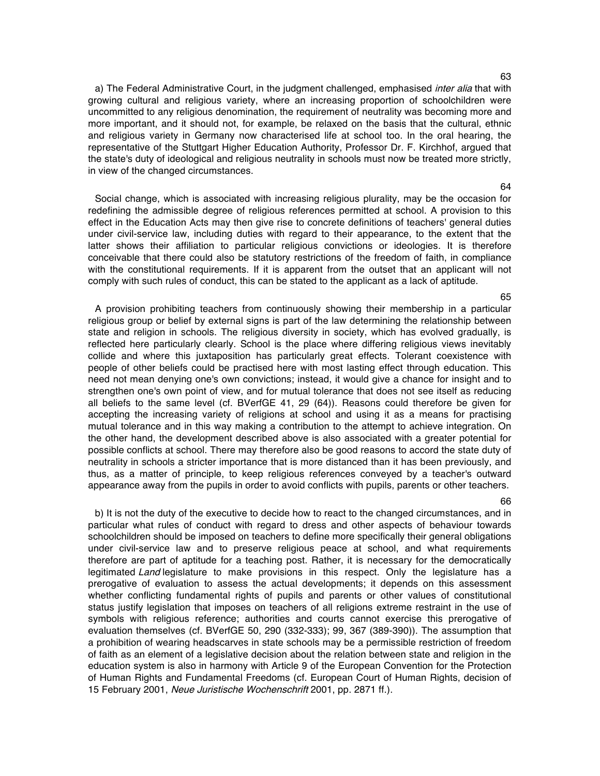a) The Federal Administrative Court, in the judgment challenged, emphasised inter alia that with growing cultural and religious variety, where an increasing proportion of schoolchildren were uncommitted to any religious denomination, the requirement of neutrality was becoming more and more important, and it should not, for example, be relaxed on the basis that the cultural, ethnic and religious variety in Germany now characterised life at school too. In the oral hearing, the representative of the Stuttgart Higher Education Authority, Professor Dr. F. Kirchhof, argued that the state's duty of ideological and religious neutrality in schools must now be treated more strictly, in view of the changed circumstances.

Social change, which is associated with increasing religious plurality, may be the occasion for redefining the admissible degree of religious references permitted at school. A provision to this effect in the Education Acts may then give rise to concrete definitions of teachers' general duties under civil-service law, including duties with regard to their appearance, to the extent that the latter shows their affiliation to particular religious convictions or ideologies. It is therefore conceivable that there could also be statutory restrictions of the freedom of faith, in compliance with the constitutional requirements. If it is apparent from the outset that an applicant will not comply with such rules of conduct, this can be stated to the applicant as a lack of aptitude.

A provision prohibiting teachers from continuously showing their membership in a particular religious group or belief by external signs is part of the law determining the relationship between state and religion in schools. The religious diversity in society, which has evolved gradually, is reflected here particularly clearly. School is the place where differing religious views inevitably collide and where this juxtaposition has particularly great effects. Tolerant coexistence with people of other beliefs could be practised here with most lasting effect through education. This need not mean denying one's own convictions; instead, it would give a chance for insight and to strengthen one's own point of view, and for mutual tolerance that does not see itself as reducing all beliefs to the same level (cf. BVerfGE 41, 29 (64)). Reasons could therefore be given for accepting the increasing variety of religions at school and using it as a means for practising mutual tolerance and in this way making a contribution to the attempt to achieve integration. On the other hand, the development described above is also associated with a greater potential for possible conflicts at school. There may therefore also be good reasons to accord the state duty of neutrality in schools a stricter importance that is more distanced than it has been previously, and thus, as a matter of principle, to keep religious references conveyed by a teacher's outward appearance away from the pupils in order to avoid conflicts with pupils, parents or other teachers.

b) It is not the duty of the executive to decide how to react to the changed circumstances, and in particular what rules of conduct with regard to dress and other aspects of behaviour towards schoolchildren should be imposed on teachers to define more specifically their general obligations under civil-service law and to preserve religious peace at school, and what requirements therefore are part of aptitude for a teaching post. Rather, it is necessary for the democratically legitimated Land legislature to make provisions in this respect. Only the legislature has a prerogative of evaluation to assess the actual developments; it depends on this assessment whether conflicting fundamental rights of pupils and parents or other values of constitutional status justify legislation that imposes on teachers of all religions extreme restraint in the use of symbols with religious reference; authorities and courts cannot exercise this prerogative of evaluation themselves (cf. BVerfGE 50, 290 (332-333); 99, 367 (389-390)). The assumption that a prohibition of wearing headscarves in state schools may be a permissible restriction of freedom of faith as an element of a legislative decision about the relation between state and religion in the education system is also in harmony with Article 9 of the European Convention for the Protection of Human Rights and Fundamental Freedoms (cf. European Court of Human Rights, decision of 15 February 2001, Neue Juristische Wochenschrift 2001, pp. 2871 ff.).

#### 66

#### 64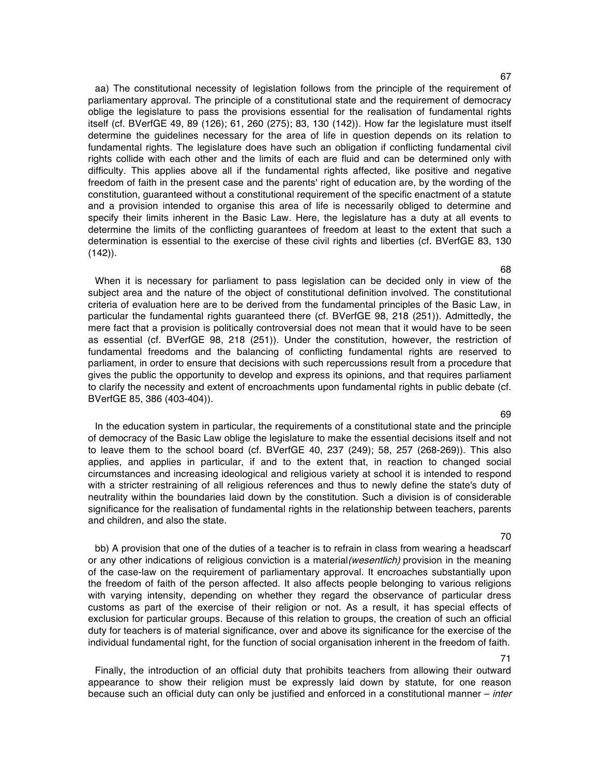aa) The constitutional necessity of legislation follows from the principle of the requirement of parliamentary approval. The principle of a constitutional state and the requirement of democracy oblige the legislature to pass the provisions essential for the realisation of fundamental rights itself (cf. BVerfGE 49, 89 (126); 61, 260 (275); 83, 130 (142)). How far the legislature must itself determine the guidelines necessary for the area of life in question depends on its relation to fundamental rights. The legislature does have such an obligation if conflicting fundamental civil rights collide with each other and the limits of each are fluid and can be determined only with difficulty. This applies above all if the fundamental rights affected, like positive and negative freedom of faith in the present case and the parents' right of education are, by the wording of the constitution, guaranteed without a constitutional requirement of the specific enactment of a statute and a provision intended to organise this area of life is necessarily obliged to determine and specify their limits inherent in the Basic Law. Here, the legislature has a duty at all events to determine the limits of the conflicting guarantees of freedom at least to the extent that such a determination is essential to the exercise of these civil rights and liberties (cf. BVerfGE 83, 130  $(142)$ .

When it is necessary for parliament to pass legislation can be decided only in view of the subject area and the nature of the object of constitutional definition involved. The constitutional criteria of evaluation here are to be derived from the fundamental principles of the Basic Law, in particular the fundamental rights guaranteed there (cf. BVerfGE 98, 218 (251)). Admittedly, the mere fact that a provision is politically controversial does not mean that it would have to be seen as essential (cf. BVerfGE 98, 218 (251)). Under the constitution, however, the restriction of fundamental freedoms and the balancing of conflicting fundamental rights are reserved to parliament, in order to ensure that decisions with such repercussions result from a procedure that gives the public the opportunity to develop and express its opinions, and that requires parliament to clarify the necessity and extent of encroachments upon fundamental rights in public debate (cf. BVerfGE 85, 386 (403-404)).

In the education system in particular, the requirements of a constitutional state and the principle of democracy of the Basic Law oblige the legislature to make the essential decisions itself and not to leave them to the school board (cf. BVerfGE 40, 237 (249); 58, 257 (268-269)). This also applies, and applies in particular, if and to the extent that, in reaction to changed social circumstances and increasing ideological and religious variety at school it is intended to respond with a stricter restraining of all religious references and thus to newly define the state's duty of neutrality within the boundaries laid down by the constitution. Such a division is of considerable significance for the realisation of fundamental rights in the relationship between teachers, parents and children, and also the state.

bb) A provision that one of the duties of a teacher is to refrain in class from wearing a headscarf or any other indications of religious conviction is a material(wesentlich) provision in the meaning of the case-law on the requirement of parliamentary approval. It encroaches substantially upon the freedom of faith of the person affected. It also affects people belonging to various religions with varying intensity, depending on whether they regard the observance of particular dress customs as part of the exercise of their religion or not. As a result, it has special effects of exclusion for particular groups. Because of this relation to groups, the creation of such an official duty for teachers is of material significance, over and above its significance for the exercise of the individual fundamental right, for the function of social organisation inherent in the freedom of faith.

Finally, the introduction of an official duty that prohibits teachers from allowing their outward appearance to show their religion must be expressly laid down by statute, for one reason because such an official duty can only be justified and enforced in a constitutional manner – inter

69

## 70

71

# 68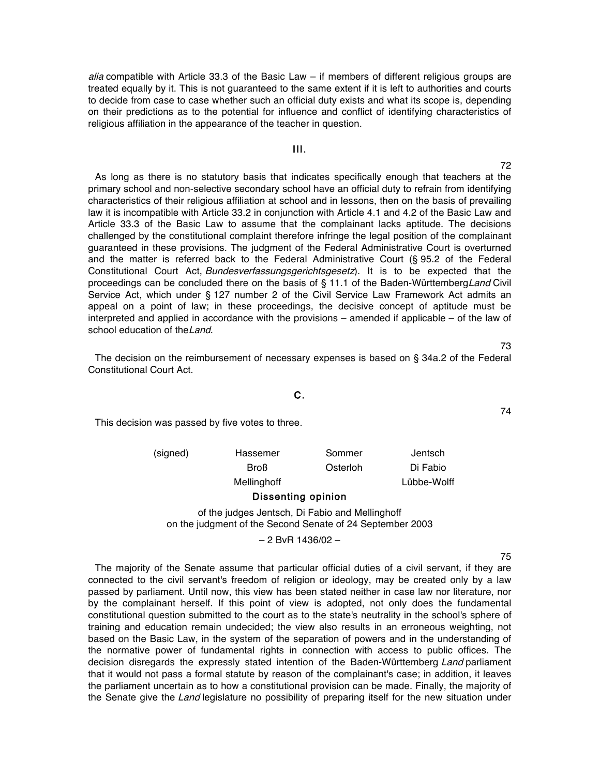*alia* compatible with Article 33.3 of the Basic Law – if members of different religious groups are treated equally by it. This is not guaranteed to the same extent if it is left to authorities and courts to decide from case to case whether such an official duty exists and what its scope is, depending on their predictions as to the potential for influence and conflict of identifying characteristics of religious affiliation in the appearance of the teacher in question.

## III.

72 As long as there is no statutory basis that indicates specifically enough that teachers at the primary school and non-selective secondary school have an official duty to refrain from identifying characteristics of their religious affiliation at school and in lessons, then on the basis of prevailing law it is incompatible with Article 33.2 in conjunction with Article 4.1 and 4.2 of the Basic Law and Article 33.3 of the Basic Law to assume that the complainant lacks aptitude. The decisions challenged by the constitutional complaint therefore infringe the legal position of the complainant guaranteed in these provisions. The judgment of the Federal Administrative Court is overturned and the matter is referred back to the Federal Administrative Court (§ 95.2 of the Federal Constitutional Court Act, Bundesverfassungsgerichtsgesetz). It is to be expected that the proceedings can be concluded there on the basis of § 11.1 of the Baden-WürttembergLand Civil Service Act, which under § 127 number 2 of the Civil Service Law Framework Act admits an appeal on a point of law; in these proceedings, the decisive concept of aptitude must be interpreted and applied in accordance with the provisions – amended if applicable – of the law of school education of the Land.

The decision on the reimbursement of necessary expenses is based on § 34a.2 of the Federal Constitutional Court Act.

## C.

This decision was passed by five votes to three.

| (signed) | Hassemer    | Sommer   | Jentsch     |
|----------|-------------|----------|-------------|
|          | <b>Broß</b> | Osterloh | Di Fabio    |
|          | Mellinghoff |          | Lübbe-Wolff |

#### Dissenting opinion

of the judges Jentsch, Di Fabio and Mellinghoff on the judgment of the Second Senate of 24 September 2003

#### – 2 BvR 1436/02 –

75

The majority of the Senate assume that particular official duties of a civil servant, if they are connected to the civil servant's freedom of religion or ideology, may be created only by a law passed by parliament. Until now, this view has been stated neither in case law nor literature, nor by the complainant herself. If this point of view is adopted, not only does the fundamental constitutional question submitted to the court as to the state's neutrality in the school's sphere of training and education remain undecided; the view also results in an erroneous weighting, not based on the Basic Law, in the system of the separation of powers and in the understanding of the normative power of fundamental rights in connection with access to public offices. The decision disregards the expressly stated intention of the Baden-Württemberg Land parliament that it would not pass a formal statute by reason of the complainant's case; in addition, it leaves the parliament uncertain as to how a constitutional provision can be made. Finally, the majority of the Senate give the Land legislature no possibility of preparing itself for the new situation under

74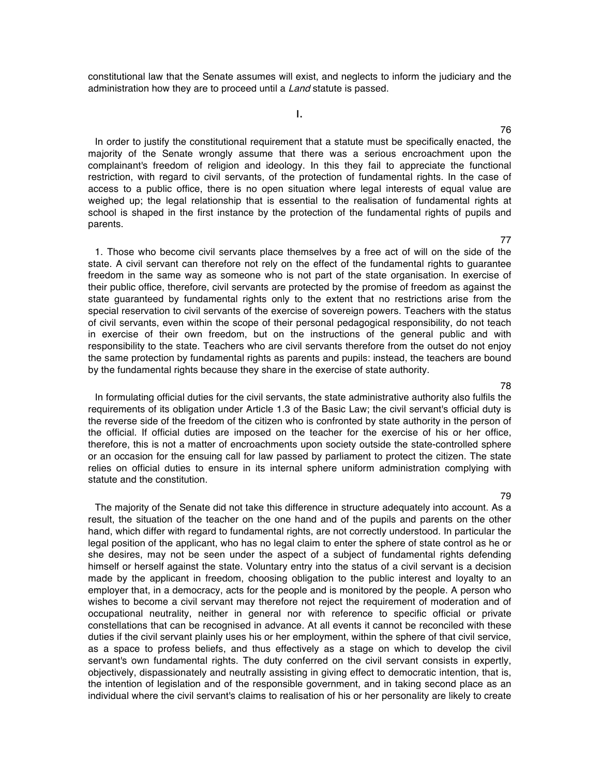constitutional law that the Senate assumes will exist, and neglects to inform the judiciary and the administration how they are to proceed until a Land statute is passed.

I.

In order to justify the constitutional requirement that a statute must be specifically enacted, the majority of the Senate wrongly assume that there was a serious encroachment upon the complainant's freedom of religion and ideology. In this they fail to appreciate the functional restriction, with regard to civil servants, of the protection of fundamental rights. In the case of access to a public office, there is no open situation where legal interests of equal value are weighed up; the legal relationship that is essential to the realisation of fundamental rights at school is shaped in the first instance by the protection of the fundamental rights of pupils and parents.

1. Those who become civil servants place themselves by a free act of will on the side of the state. A civil servant can therefore not rely on the effect of the fundamental rights to guarantee freedom in the same way as someone who is not part of the state organisation. In exercise of their public office, therefore, civil servants are protected by the promise of freedom as against the state guaranteed by fundamental rights only to the extent that no restrictions arise from the special reservation to civil servants of the exercise of sovereign powers. Teachers with the status of civil servants, even within the scope of their personal pedagogical responsibility, do not teach in exercise of their own freedom, but on the instructions of the general public and with responsibility to the state. Teachers who are civil servants therefore from the outset do not enjoy the same protection by fundamental rights as parents and pupils: instead, the teachers are bound by the fundamental rights because they share in the exercise of state authority.

In formulating official duties for the civil servants, the state administrative authority also fulfils the requirements of its obligation under Article 1.3 of the Basic Law; the civil servant's official duty is the reverse side of the freedom of the citizen who is confronted by state authority in the person of the official. If official duties are imposed on the teacher for the exercise of his or her office, therefore, this is not a matter of encroachments upon society outside the state-controlled sphere or an occasion for the ensuing call for law passed by parliament to protect the citizen. The state relies on official duties to ensure in its internal sphere uniform administration complying with statute and the constitution.

The majority of the Senate did not take this difference in structure adequately into account. As a result, the situation of the teacher on the one hand and of the pupils and parents on the other hand, which differ with regard to fundamental rights, are not correctly understood. In particular the legal position of the applicant, who has no legal claim to enter the sphere of state control as he or she desires, may not be seen under the aspect of a subject of fundamental rights defending himself or herself against the state. Voluntary entry into the status of a civil servant is a decision made by the applicant in freedom, choosing obligation to the public interest and loyalty to an employer that, in a democracy, acts for the people and is monitored by the people. A person who wishes to become a civil servant may therefore not reject the requirement of moderation and of occupational neutrality, neither in general nor with reference to specific official or private constellations that can be recognised in advance. At all events it cannot be reconciled with these duties if the civil servant plainly uses his or her employment, within the sphere of that civil service, as a space to profess beliefs, and thus effectively as a stage on which to develop the civil servant's own fundamental rights. The duty conferred on the civil servant consists in expertly, objectively, dispassionately and neutrally assisting in giving effect to democratic intention, that is, the intention of legislation and of the responsible government, and in taking second place as an individual where the civil servant's claims to realisation of his or her personality are likely to create

#### 78

79

## 76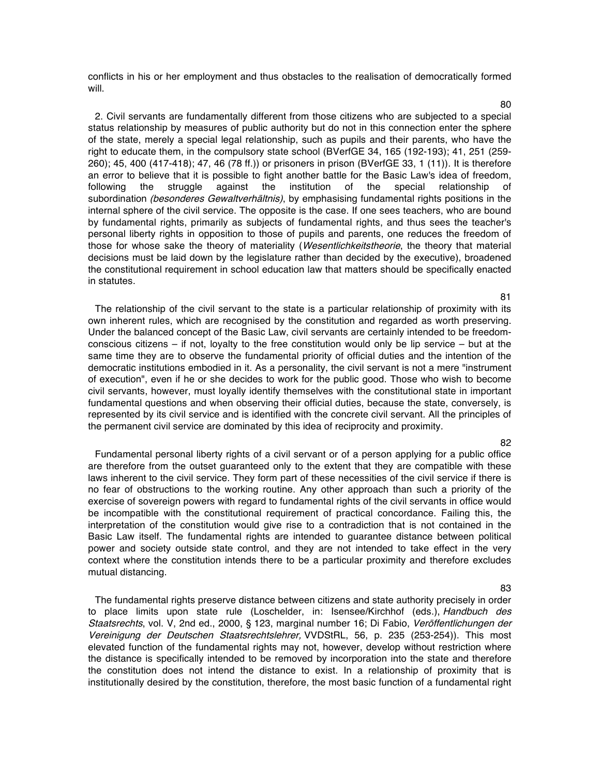conflicts in his or her employment and thus obstacles to the realisation of democratically formed will.

2. Civil servants are fundamentally different from those citizens who are subjected to a special status relationship by measures of public authority but do not in this connection enter the sphere of the state, merely a special legal relationship, such as pupils and their parents, who have the right to educate them, in the compulsory state school (BVerfGE 34, 165 (192-193); 41, 251 (259- 260); 45, 400 (417-418); 47, 46 (78 ff.)) or prisoners in prison (BVerfGE 33, 1 (11)). It is therefore an error to believe that it is possible to fight another battle for the Basic Law's idea of freedom, following the struggle against the institution of the special relationship of subordination (besonderes Gewaltverhältnis), by emphasising fundamental rights positions in the internal sphere of the civil service. The opposite is the case. If one sees teachers, who are bound by fundamental rights, primarily as subjects of fundamental rights, and thus sees the teacher's personal liberty rights in opposition to those of pupils and parents, one reduces the freedom of those for whose sake the theory of materiality (Wesentlichkeitstheorie, the theory that material decisions must be laid down by the legislature rather than decided by the executive), broadened the constitutional requirement in school education law that matters should be specifically enacted in statutes.

The relationship of the civil servant to the state is a particular relationship of proximity with its own inherent rules, which are recognised by the constitution and regarded as worth preserving. Under the balanced concept of the Basic Law, civil servants are certainly intended to be freedomconscious citizens  $-$  if not, loyalty to the free constitution would only be lip service  $-$  but at the same time they are to observe the fundamental priority of official duties and the intention of the democratic institutions embodied in it. As a personality, the civil servant is not a mere "instrument of execution", even if he or she decides to work for the public good. Those who wish to become civil servants, however, must loyally identify themselves with the constitutional state in important fundamental questions and when observing their official duties, because the state, conversely, is represented by its civil service and is identified with the concrete civil servant. All the principles of the permanent civil service are dominated by this idea of reciprocity and proximity.

Fundamental personal liberty rights of a civil servant or of a person applying for a public office are therefore from the outset guaranteed only to the extent that they are compatible with these laws inherent to the civil service. They form part of these necessities of the civil service if there is no fear of obstructions to the working routine. Any other approach than such a priority of the exercise of sovereign powers with regard to fundamental rights of the civil servants in office would be incompatible with the constitutional requirement of practical concordance. Failing this, the interpretation of the constitution would give rise to a contradiction that is not contained in the Basic Law itself. The fundamental rights are intended to guarantee distance between political power and society outside state control, and they are not intended to take effect in the very context where the constitution intends there to be a particular proximity and therefore excludes mutual distancing.

The fundamental rights preserve distance between citizens and state authority precisely in order to place limits upon state rule (Loschelder, in: Isensee/Kirchhof (eds.), Handbuch des Staatsrechts, vol. V, 2nd ed., 2000, § 123, marginal number 16; Di Fabio, Veröffentlichungen der Vereinigung der Deutschen Staatsrechtslehrer, VVDStRL, 56, p. 235 (253-254)). This most elevated function of the fundamental rights may not, however, develop without restriction where the distance is specifically intended to be removed by incorporation into the state and therefore the constitution does not intend the distance to exist. In a relationship of proximity that is institutionally desired by the constitution, therefore, the most basic function of a fundamental right

82

81

80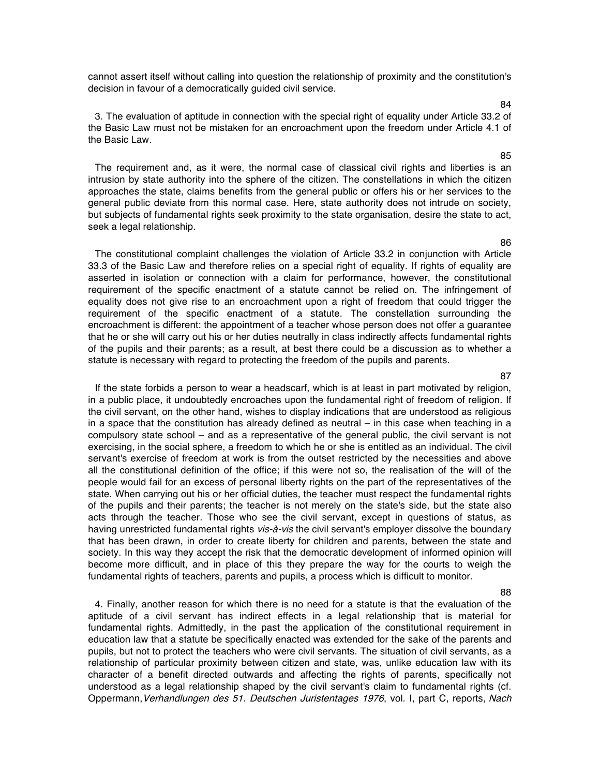cannot assert itself without calling into question the relationship of proximity and the constitution's decision in favour of a democratically guided civil service.

3. The evaluation of aptitude in connection with the special right of equality under Article 33.2 of the Basic Law must not be mistaken for an encroachment upon the freedom under Article 4.1 of the Basic Law.

The requirement and, as it were, the normal case of classical civil rights and liberties is an intrusion by state authority into the sphere of the citizen. The constellations in which the citizen approaches the state, claims benefits from the general public or offers his or her services to the general public deviate from this normal case. Here, state authority does not intrude on society, but subjects of fundamental rights seek proximity to the state organisation, desire the state to act, seek a legal relationship.

The constitutional complaint challenges the violation of Article 33.2 in conjunction with Article 33.3 of the Basic Law and therefore relies on a special right of equality. If rights of equality are asserted in isolation or connection with a claim for performance, however, the constitutional requirement of the specific enactment of a statute cannot be relied on. The infringement of equality does not give rise to an encroachment upon a right of freedom that could trigger the requirement of the specific enactment of a statute. The constellation surrounding the encroachment is different: the appointment of a teacher whose person does not offer a guarantee that he or she will carry out his or her duties neutrally in class indirectly affects fundamental rights of the pupils and their parents; as a result, at best there could be a discussion as to whether a statute is necessary with regard to protecting the freedom of the pupils and parents.

If the state forbids a person to wear a headscarf, which is at least in part motivated by religion, in a public place, it undoubtedly encroaches upon the fundamental right of freedom of religion. If the civil servant, on the other hand, wishes to display indications that are understood as religious in a space that the constitution has already defined as neutral – in this case when teaching in a compulsory state school – and as a representative of the general public, the civil servant is not exercising, in the social sphere, a freedom to which he or she is entitled as an individual. The civil servant's exercise of freedom at work is from the outset restricted by the necessities and above all the constitutional definition of the office; if this were not so, the realisation of the will of the people would fail for an excess of personal liberty rights on the part of the representatives of the state. When carrying out his or her official duties, the teacher must respect the fundamental rights of the pupils and their parents; the teacher is not merely on the state's side, but the state also acts through the teacher. Those who see the civil servant, except in questions of status, as having unrestricted fundamental rights vis-à-vis the civil servant's employer dissolve the boundary that has been drawn, in order to create liberty for children and parents, between the state and society. In this way they accept the risk that the democratic development of informed opinion will become more difficult, and in place of this they prepare the way for the courts to weigh the fundamental rights of teachers, parents and pupils, a process which is difficult to monitor.

4. Finally, another reason for which there is no need for a statute is that the evaluation of the aptitude of a civil servant has indirect effects in a legal relationship that is material for fundamental rights. Admittedly, in the past the application of the constitutional requirement in education law that a statute be specifically enacted was extended for the sake of the parents and pupils, but not to protect the teachers who were civil servants. The situation of civil servants, as a relationship of particular proximity between citizen and state, was, unlike education law with its character of a benefit directed outwards and affecting the rights of parents, specifically not understood as a legal relationship shaped by the civil servant's claim to fundamental rights (cf. Oppermann, Verhandlungen des 51. Deutschen Juristentages 1976, vol. I, part C, reports, Nach

87

# 85

84

86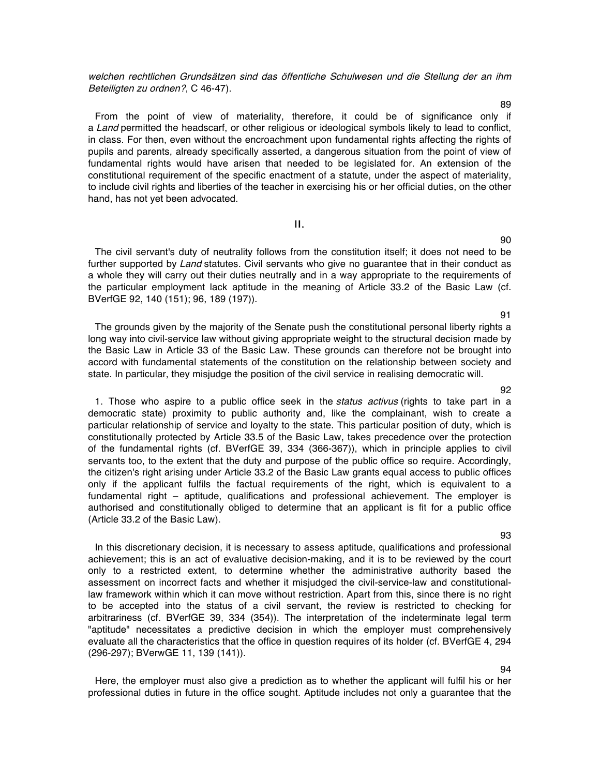welchen rechtlichen Grundsätzen sind das öffentliche Schulwesen und die Stellung der an ihm Beteiligten zu ordnen?, C 46-47).

From the point of view of materiality, therefore, it could be of significance only if a Land permitted the headscarf, or other religious or ideological symbols likely to lead to conflict, in class. For then, even without the encroachment upon fundamental rights affecting the rights of pupils and parents, already specifically asserted, a dangerous situation from the point of view of fundamental rights would have arisen that needed to be legislated for. An extension of the constitutional requirement of the specific enactment of a statute, under the aspect of materiality, to include civil rights and liberties of the teacher in exercising his or her official duties, on the other hand, has not yet been advocated.

## II.

The civil servant's duty of neutrality follows from the constitution itself; it does not need to be further supported by Land statutes. Civil servants who give no quarantee that in their conduct as a whole they will carry out their duties neutrally and in a way appropriate to the requirements of the particular employment lack aptitude in the meaning of Article 33.2 of the Basic Law (cf. BVerfGE 92, 140 (151); 96, 189 (197)).

The grounds given by the majority of the Senate push the constitutional personal liberty rights a long way into civil-service law without giving appropriate weight to the structural decision made by the Basic Law in Article 33 of the Basic Law. These grounds can therefore not be brought into accord with fundamental statements of the constitution on the relationship between society and state. In particular, they misjudge the position of the civil service in realising democratic will.

1. Those who aspire to a public office seek in the status activus (rights to take part in a democratic state) proximity to public authority and, like the complainant, wish to create a particular relationship of service and loyalty to the state. This particular position of duty, which is constitutionally protected by Article 33.5 of the Basic Law, takes precedence over the protection of the fundamental rights (cf. BVerfGE 39, 334 (366-367)), which in principle applies to civil servants too, to the extent that the duty and purpose of the public office so require. Accordingly, the citizen's right arising under Article 33.2 of the Basic Law grants equal access to public offices only if the applicant fulfils the factual requirements of the right, which is equivalent to a fundamental right – aptitude, qualifications and professional achievement. The employer is authorised and constitutionally obliged to determine that an applicant is fit for a public office (Article 33.2 of the Basic Law).

In this discretionary decision, it is necessary to assess aptitude, qualifications and professional achievement; this is an act of evaluative decision-making, and it is to be reviewed by the court only to a restricted extent, to determine whether the administrative authority based the assessment on incorrect facts and whether it misjudged the civil-service-law and constitutionallaw framework within which it can move without restriction. Apart from this, since there is no right to be accepted into the status of a civil servant, the review is restricted to checking for arbitrariness (cf. BVerfGE 39, 334 (354)). The interpretation of the indeterminate legal term "aptitude" necessitates a predictive decision in which the employer must comprehensively evaluate all the characteristics that the office in question requires of its holder (cf. BVerfGE 4, 294 (296-297); BVerwGE 11, 139 (141)).

Here, the employer must also give a prediction as to whether the applicant will fulfil his or her professional duties in future in the office sought. Aptitude includes not only a guarantee that the

93

#### 91

92

90

94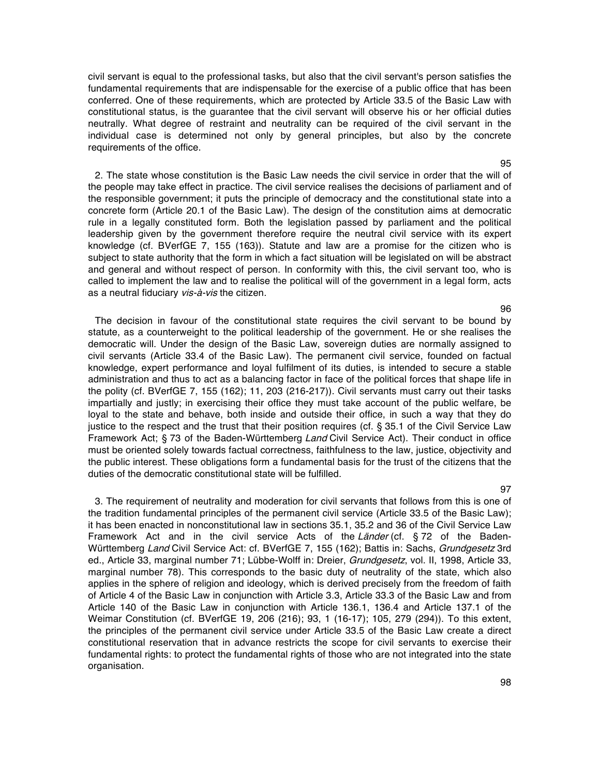civil servant is equal to the professional tasks, but also that the civil servant's person satisfies the fundamental requirements that are indispensable for the exercise of a public office that has been conferred. One of these requirements, which are protected by Article 33.5 of the Basic Law with constitutional status, is the guarantee that the civil servant will observe his or her official duties neutrally. What degree of restraint and neutrality can be required of the civil servant in the individual case is determined not only by general principles, but also by the concrete requirements of the office.

2. The state whose constitution is the Basic Law needs the civil service in order that the will of the people may take effect in practice. The civil service realises the decisions of parliament and of the responsible government; it puts the principle of democracy and the constitutional state into a concrete form (Article 20.1 of the Basic Law). The design of the constitution aims at democratic rule in a legally constituted form. Both the legislation passed by parliament and the political leadership given by the government therefore require the neutral civil service with its expert knowledge (cf. BVerfGE 7, 155 (163)). Statute and law are a promise for the citizen who is subject to state authority that the form in which a fact situation will be legislated on will be abstract and general and without respect of person. In conformity with this, the civil servant too, who is called to implement the law and to realise the political will of the government in a legal form, acts as a neutral fiduciary vis-à-vis the citizen.

The decision in favour of the constitutional state requires the civil servant to be bound by statute, as a counterweight to the political leadership of the government. He or she realises the democratic will. Under the design of the Basic Law, sovereign duties are normally assigned to civil servants (Article 33.4 of the Basic Law). The permanent civil service, founded on factual knowledge, expert performance and loyal fulfilment of its duties, is intended to secure a stable administration and thus to act as a balancing factor in face of the political forces that shape life in the polity (cf. BVerfGE 7, 155 (162); 11, 203 (216-217)). Civil servants must carry out their tasks impartially and justly; in exercising their office they must take account of the public welfare, be loyal to the state and behave, both inside and outside their office, in such a way that they do justice to the respect and the trust that their position requires (cf. § 35.1 of the Civil Service Law Framework Act; § 73 of the Baden-Württemberg Land Civil Service Act). Their conduct in office must be oriented solely towards factual correctness, faithfulness to the law, justice, objectivity and the public interest. These obligations form a fundamental basis for the trust of the citizens that the duties of the democratic constitutional state will be fulfilled.

3. The requirement of neutrality and moderation for civil servants that follows from this is one of the tradition fundamental principles of the permanent civil service (Article 33.5 of the Basic Law); it has been enacted in nonconstitutional law in sections 35.1, 35.2 and 36 of the Civil Service Law Framework Act and in the civil service Acts of the Länder (cf. § 72 of the Baden-Württemberg Land Civil Service Act: cf. BVerfGE 7, 155 (162); Battis in: Sachs, Grundgesetz 3rd ed., Article 33, marginal number 71; Lübbe-Wolff in: Dreier, Grundgesetz, vol. II, 1998, Article 33, marginal number 78). This corresponds to the basic duty of neutrality of the state, which also applies in the sphere of religion and ideology, which is derived precisely from the freedom of faith of Article 4 of the Basic Law in conjunction with Article 3.3, Article 33.3 of the Basic Law and from Article 140 of the Basic Law in conjunction with Article 136.1, 136.4 and Article 137.1 of the Weimar Constitution (cf. BVerfGE 19, 206 (216); 93, 1 (16-17); 105, 279 (294)). To this extent, the principles of the permanent civil service under Article 33.5 of the Basic Law create a direct constitutional reservation that in advance restricts the scope for civil servants to exercise their fundamental rights: to protect the fundamental rights of those who are not integrated into the state organisation.

97

96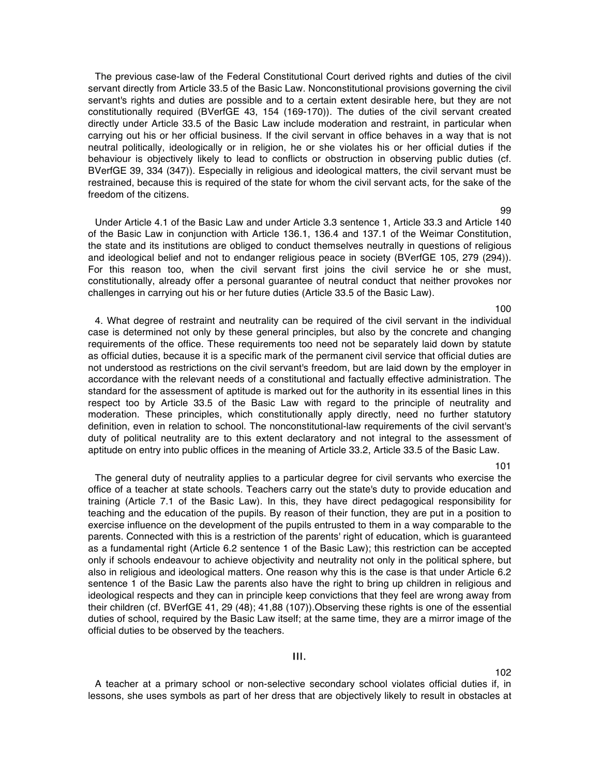The previous case-law of the Federal Constitutional Court derived rights and duties of the civil servant directly from Article 33.5 of the Basic Law. Nonconstitutional provisions governing the civil servant's rights and duties are possible and to a certain extent desirable here, but they are not constitutionally required (BVerfGE 43, 154 (169-170)). The duties of the civil servant created directly under Article 33.5 of the Basic Law include moderation and restraint, in particular when carrying out his or her official business. If the civil servant in office behaves in a way that is not neutral politically, ideologically or in religion, he or she violates his or her official duties if the behaviour is objectively likely to lead to conflicts or obstruction in observing public duties (cf. BVerfGE 39, 334 (347)). Especially in religious and ideological matters, the civil servant must be restrained, because this is required of the state for whom the civil servant acts, for the sake of the freedom of the citizens.

Under Article 4.1 of the Basic Law and under Article 3.3 sentence 1, Article 33.3 and Article 140 of the Basic Law in conjunction with Article 136.1, 136.4 and 137.1 of the Weimar Constitution, the state and its institutions are obliged to conduct themselves neutrally in questions of religious and ideological belief and not to endanger religious peace in society (BVerfGE 105, 279 (294)). For this reason too, when the civil servant first joins the civil service he or she must, constitutionally, already offer a personal guarantee of neutral conduct that neither provokes nor challenges in carrying out his or her future duties (Article 33.5 of the Basic Law).

4. What degree of restraint and neutrality can be required of the civil servant in the individual case is determined not only by these general principles, but also by the concrete and changing requirements of the office. These requirements too need not be separately laid down by statute as official duties, because it is a specific mark of the permanent civil service that official duties are not understood as restrictions on the civil servant's freedom, but are laid down by the employer in accordance with the relevant needs of a constitutional and factually effective administration. The standard for the assessment of aptitude is marked out for the authority in its essential lines in this respect too by Article 33.5 of the Basic Law with regard to the principle of neutrality and moderation. These principles, which constitutionally apply directly, need no further statutory definition, even in relation to school. The nonconstitutional-law requirements of the civil servant's duty of political neutrality are to this extent declaratory and not integral to the assessment of aptitude on entry into public offices in the meaning of Article 33.2, Article 33.5 of the Basic Law.

101

102

The general duty of neutrality applies to a particular degree for civil servants who exercise the office of a teacher at state schools. Teachers carry out the state's duty to provide education and training (Article 7.1 of the Basic Law). In this, they have direct pedagogical responsibility for teaching and the education of the pupils. By reason of their function, they are put in a position to exercise influence on the development of the pupils entrusted to them in a way comparable to the parents. Connected with this is a restriction of the parents' right of education, which is guaranteed as a fundamental right (Article 6.2 sentence 1 of the Basic Law); this restriction can be accepted only if schools endeavour to achieve objectivity and neutrality not only in the political sphere, but also in religious and ideological matters. One reason why this is the case is that under Article 6.2 sentence 1 of the Basic Law the parents also have the right to bring up children in religious and ideological respects and they can in principle keep convictions that they feel are wrong away from their children (cf. BVerfGE 41, 29 (48); 41,88 (107)).Observing these rights is one of the essential duties of school, required by the Basic Law itself; at the same time, they are a mirror image of the official duties to be observed by the teachers.

### III.

A teacher at a primary school or non-selective secondary school violates official duties if, in lessons, she uses symbols as part of her dress that are objectively likely to result in obstacles at

99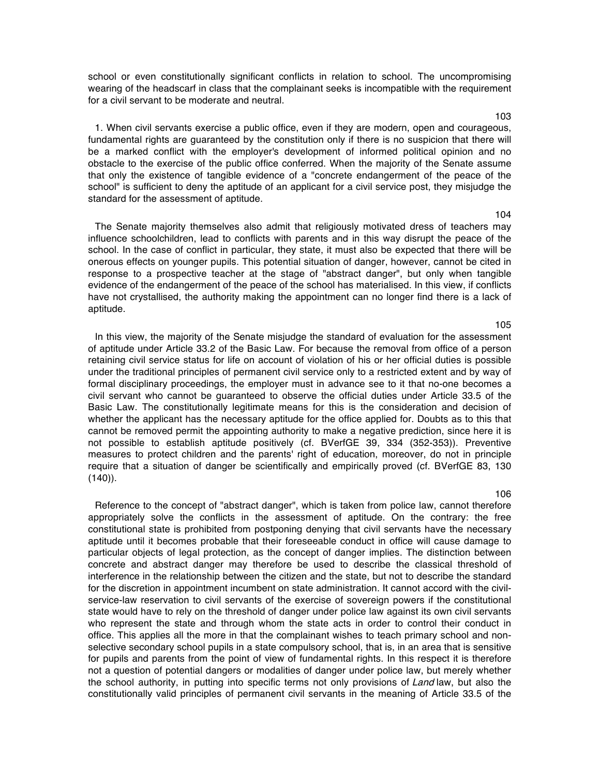school or even constitutionally significant conflicts in relation to school. The uncompromising wearing of the headscarf in class that the complainant seeks is incompatible with the requirement for a civil servant to be moderate and neutral.

1. When civil servants exercise a public office, even if they are modern, open and courageous, fundamental rights are guaranteed by the constitution only if there is no suspicion that there will be a marked conflict with the employer's development of informed political opinion and no obstacle to the exercise of the public office conferred. When the majority of the Senate assume that only the existence of tangible evidence of a "concrete endangerment of the peace of the school" is sufficient to deny the aptitude of an applicant for a civil service post, they misjudge the standard for the assessment of aptitude.

The Senate majority themselves also admit that religiously motivated dress of teachers may influence schoolchildren, lead to conflicts with parents and in this way disrupt the peace of the school. In the case of conflict in particular, they state, it must also be expected that there will be onerous effects on younger pupils. This potential situation of danger, however, cannot be cited in response to a prospective teacher at the stage of "abstract danger", but only when tangible evidence of the endangerment of the peace of the school has materialised. In this view, if conflicts have not crystallised, the authority making the appointment can no longer find there is a lack of aptitude.

In this view, the majority of the Senate misjudge the standard of evaluation for the assessment of aptitude under Article 33.2 of the Basic Law. For because the removal from office of a person retaining civil service status for life on account of violation of his or her official duties is possible under the traditional principles of permanent civil service only to a restricted extent and by way of formal disciplinary proceedings, the employer must in advance see to it that no-one becomes a civil servant who cannot be guaranteed to observe the official duties under Article 33.5 of the Basic Law. The constitutionally legitimate means for this is the consideration and decision of whether the applicant has the necessary aptitude for the office applied for. Doubts as to this that cannot be removed permit the appointing authority to make a negative prediction, since here it is not possible to establish aptitude positively (cf. BVerfGE 39, 334 (352-353)). Preventive measures to protect children and the parents' right of education, moreover, do not in principle require that a situation of danger be scientifically and empirically proved (cf. BVerfGE 83, 130  $(140)$ .

Reference to the concept of "abstract danger", which is taken from police law, cannot therefore appropriately solve the conflicts in the assessment of aptitude. On the contrary: the free constitutional state is prohibited from postponing denying that civil servants have the necessary aptitude until it becomes probable that their foreseeable conduct in office will cause damage to particular objects of legal protection, as the concept of danger implies. The distinction between concrete and abstract danger may therefore be used to describe the classical threshold of interference in the relationship between the citizen and the state, but not to describe the standard for the discretion in appointment incumbent on state administration. It cannot accord with the civilservice-law reservation to civil servants of the exercise of sovereign powers if the constitutional state would have to rely on the threshold of danger under police law against its own civil servants who represent the state and through whom the state acts in order to control their conduct in office. This applies all the more in that the complainant wishes to teach primary school and nonselective secondary school pupils in a state compulsory school, that is, in an area that is sensitive for pupils and parents from the point of view of fundamental rights. In this respect it is therefore not a question of potential dangers or modalities of danger under police law, but merely whether the school authority, in putting into specific terms not only provisions of Land law, but also the constitutionally valid principles of permanent civil servants in the meaning of Article 33.5 of the

106

#### 103

104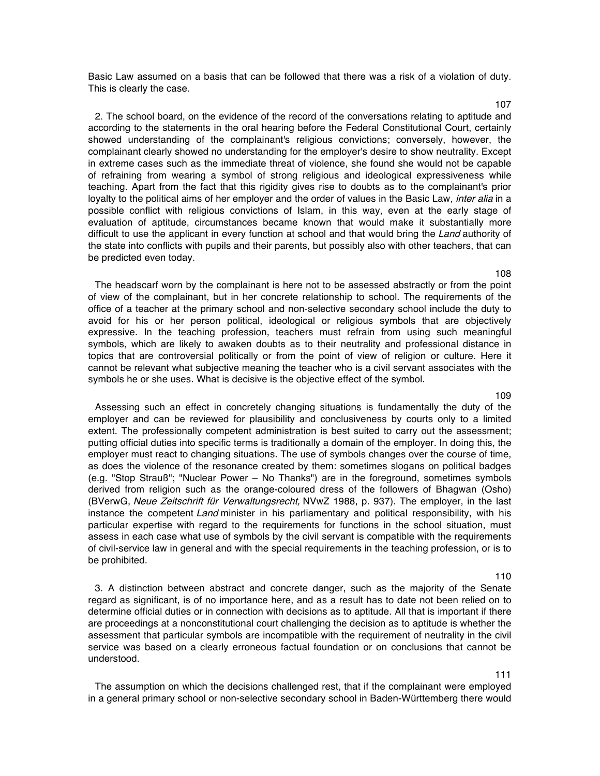Basic Law assumed on a basis that can be followed that there was a risk of a violation of duty. This is clearly the case.

2. The school board, on the evidence of the record of the conversations relating to aptitude and according to the statements in the oral hearing before the Federal Constitutional Court, certainly showed understanding of the complainant's religious convictions; conversely, however, the complainant clearly showed no understanding for the employer's desire to show neutrality. Except in extreme cases such as the immediate threat of violence, she found she would not be capable of refraining from wearing a symbol of strong religious and ideological expressiveness while teaching. Apart from the fact that this rigidity gives rise to doubts as to the complainant's prior loyalty to the political aims of her employer and the order of values in the Basic Law, *inter alia* in a possible conflict with religious convictions of Islam, in this way, even at the early stage of evaluation of aptitude, circumstances became known that would make it substantially more difficult to use the applicant in every function at school and that would bring the Land authority of the state into conflicts with pupils and their parents, but possibly also with other teachers, that can be predicted even today.

The headscarf worn by the complainant is here not to be assessed abstractly or from the point of view of the complainant, but in her concrete relationship to school. The requirements of the office of a teacher at the primary school and non-selective secondary school include the duty to avoid for his or her person political, ideological or religious symbols that are objectively expressive. In the teaching profession, teachers must refrain from using such meaningful symbols, which are likely to awaken doubts as to their neutrality and professional distance in topics that are controversial politically or from the point of view of religion or culture. Here it cannot be relevant what subjective meaning the teacher who is a civil servant associates with the symbols he or she uses. What is decisive is the objective effect of the symbol.

Assessing such an effect in concretely changing situations is fundamentally the duty of the employer and can be reviewed for plausibility and conclusiveness by courts only to a limited extent. The professionally competent administration is best suited to carry out the assessment; putting official duties into specific terms is traditionally a domain of the employer. In doing this, the employer must react to changing situations. The use of symbols changes over the course of time, as does the violence of the resonance created by them: sometimes slogans on political badges (e.g. "Stop Strauß"; "Nuclear Power – No Thanks") are in the foreground, sometimes symbols derived from religion such as the orange-coloured dress of the followers of Bhagwan (Osho) (BVerwG, Neue Zeitschrift für Verwaltungsrecht, NVwZ 1988, p. 937). The employer, in the last instance the competent Land minister in his parliamentary and political responsibility, with his particular expertise with regard to the requirements for functions in the school situation, must assess in each case what use of symbols by the civil servant is compatible with the requirements of civil-service law in general and with the special requirements in the teaching profession, or is to be prohibited.

3. A distinction between abstract and concrete danger, such as the majority of the Senate regard as significant, is of no importance here, and as a result has to date not been relied on to determine official duties or in connection with decisions as to aptitude. All that is important if there are proceedings at a nonconstitutional court challenging the decision as to aptitude is whether the assessment that particular symbols are incompatible with the requirement of neutrality in the civil service was based on a clearly erroneous factual foundation or on conclusions that cannot be understood.

The assumption on which the decisions challenged rest, that if the complainant were employed in a general primary school or non-selective secondary school in Baden-Württemberg there would

# 108

# 109

# 110

111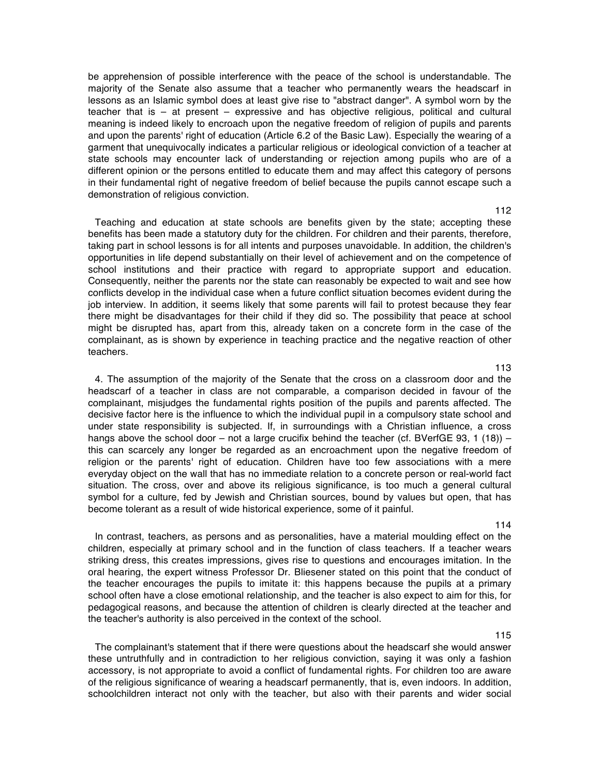be apprehension of possible interference with the peace of the school is understandable. The majority of the Senate also assume that a teacher who permanently wears the headscarf in lessons as an Islamic symbol does at least give rise to "abstract danger". A symbol worn by the teacher that is – at present – expressive and has objective religious, political and cultural meaning is indeed likely to encroach upon the negative freedom of religion of pupils and parents and upon the parents' right of education (Article 6.2 of the Basic Law). Especially the wearing of a garment that unequivocally indicates a particular religious or ideological conviction of a teacher at state schools may encounter lack of understanding or rejection among pupils who are of a different opinion or the persons entitled to educate them and may affect this category of persons in their fundamental right of negative freedom of belief because the pupils cannot escape such a demonstration of religious conviction.

Teaching and education at state schools are benefits given by the state; accepting these benefits has been made a statutory duty for the children. For children and their parents, therefore, taking part in school lessons is for all intents and purposes unavoidable. In addition, the children's opportunities in life depend substantially on their level of achievement and on the competence of school institutions and their practice with regard to appropriate support and education. Consequently, neither the parents nor the state can reasonably be expected to wait and see how conflicts develop in the individual case when a future conflict situation becomes evident during the job interview. In addition, it seems likely that some parents will fail to protest because they fear there might be disadvantages for their child if they did so. The possibility that peace at school might be disrupted has, apart from this, already taken on a concrete form in the case of the complainant, as is shown by experience in teaching practice and the negative reaction of other teachers.

4. The assumption of the majority of the Senate that the cross on a classroom door and the headscarf of a teacher in class are not comparable, a comparison decided in favour of the complainant, misjudges the fundamental rights position of the pupils and parents affected. The decisive factor here is the influence to which the individual pupil in a compulsory state school and under state responsibility is subjected. If, in surroundings with a Christian influence, a cross hangs above the school door – not a large crucifix behind the teacher (cf. BVerfGE 93, 1 (18)) – this can scarcely any longer be regarded as an encroachment upon the negative freedom of religion or the parents' right of education. Children have too few associations with a mere everyday object on the wall that has no immediate relation to a concrete person or real-world fact situation. The cross, over and above its religious significance, is too much a general cultural symbol for a culture, fed by Jewish and Christian sources, bound by values but open, that has become tolerant as a result of wide historical experience, some of it painful.

In contrast, teachers, as persons and as personalities, have a material moulding effect on the children, especially at primary school and in the function of class teachers. If a teacher wears striking dress, this creates impressions, gives rise to questions and encourages imitation. In the oral hearing, the expert witness Professor Dr. Bliesener stated on this point that the conduct of the teacher encourages the pupils to imitate it: this happens because the pupils at a primary school often have a close emotional relationship, and the teacher is also expect to aim for this, for pedagogical reasons, and because the attention of children is clearly directed at the teacher and the teacher's authority is also perceived in the context of the school.

The complainant's statement that if there were questions about the headscarf she would answer these untruthfully and in contradiction to her religious conviction, saying it was only a fashion accessory, is not appropriate to avoid a conflict of fundamental rights. For children too are aware of the religious significance of wearing a headscarf permanently, that is, even indoors. In addition, schoolchildren interact not only with the teacher, but also with their parents and wider social

114

115

# 112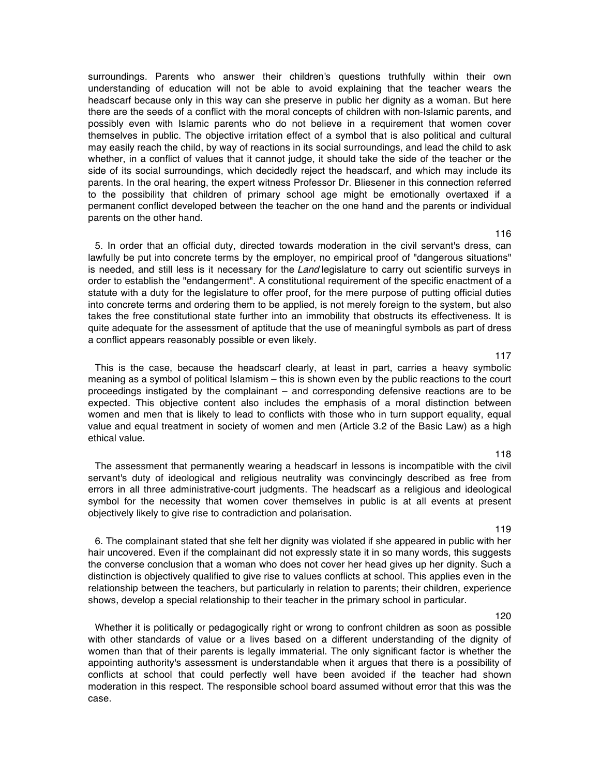surroundings. Parents who answer their children's questions truthfully within their own understanding of education will not be able to avoid explaining that the teacher wears the headscarf because only in this way can she preserve in public her dignity as a woman. But here there are the seeds of a conflict with the moral concepts of children with non-Islamic parents, and possibly even with Islamic parents who do not believe in a requirement that women cover themselves in public. The objective irritation effect of a symbol that is also political and cultural may easily reach the child, by way of reactions in its social surroundings, and lead the child to ask whether, in a conflict of values that it cannot judge, it should take the side of the teacher or the side of its social surroundings, which decidedly reject the headscarf, and which may include its parents. In the oral hearing, the expert witness Professor Dr. Bliesener in this connection referred to the possibility that children of primary school age might be emotionally overtaxed if a permanent conflict developed between the teacher on the one hand and the parents or individual parents on the other hand.

5. In order that an official duty, directed towards moderation in the civil servant's dress, can lawfully be put into concrete terms by the employer, no empirical proof of "dangerous situations" is needed, and still less is it necessary for the Land legislature to carry out scientific surveys in order to establish the "endangerment". A constitutional requirement of the specific enactment of a statute with a duty for the legislature to offer proof, for the mere purpose of putting official duties into concrete terms and ordering them to be applied, is not merely foreign to the system, but also takes the free constitutional state further into an immobility that obstructs its effectiveness. It is quite adequate for the assessment of aptitude that the use of meaningful symbols as part of dress a conflict appears reasonably possible or even likely.

This is the case, because the headscarf clearly, at least in part, carries a heavy symbolic meaning as a symbol of political Islamism – this is shown even by the public reactions to the court proceedings instigated by the complainant – and corresponding defensive reactions are to be expected. This objective content also includes the emphasis of a moral distinction between women and men that is likely to lead to conflicts with those who in turn support equality, equal value and equal treatment in society of women and men (Article 3.2 of the Basic Law) as a high ethical value.

The assessment that permanently wearing a headscarf in lessons is incompatible with the civil servant's duty of ideological and religious neutrality was convincingly described as free from errors in all three administrative-court judgments. The headscarf as a religious and ideological symbol for the necessity that women cover themselves in public is at all events at present objectively likely to give rise to contradiction and polarisation.

6. The complainant stated that she felt her dignity was violated if she appeared in public with her hair uncovered. Even if the complainant did not expressly state it in so many words, this suggests the converse conclusion that a woman who does not cover her head gives up her dignity. Such a distinction is objectively qualified to give rise to values conflicts at school. This applies even in the relationship between the teachers, but particularly in relation to parents; their children, experience shows, develop a special relationship to their teacher in the primary school in particular.

Whether it is politically or pedagogically right or wrong to confront children as soon as possible with other standards of value or a lives based on a different understanding of the dignity of women than that of their parents is legally immaterial. The only significant factor is whether the appointing authority's assessment is understandable when it argues that there is a possibility of conflicts at school that could perfectly well have been avoided if the teacher had shown moderation in this respect. The responsible school board assumed without error that this was the case.

118

117

# 119

# 120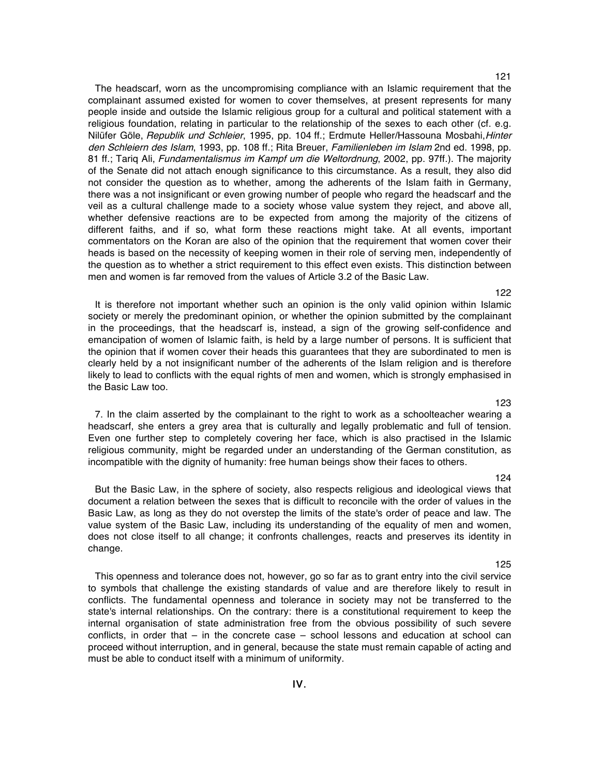121

The headscarf, worn as the uncompromising compliance with an Islamic requirement that the complainant assumed existed for women to cover themselves, at present represents for many people inside and outside the Islamic religious group for a cultural and political statement with a religious foundation, relating in particular to the relationship of the sexes to each other (cf. e.g. Nilüfer Göle, Republik und Schleier, 1995, pp. 104 ff.; Erdmute Heller/Hassouna Mosbahi, Hinter den Schleiern des Islam, 1993, pp. 108 ff.; Rita Breuer, Familienleben im Islam 2nd ed. 1998, pp. 81 ff.; Tariq Ali, Fundamentalismus im Kampf um die Weltordnung, 2002, pp. 97ff.). The majority of the Senate did not attach enough significance to this circumstance. As a result, they also did not consider the question as to whether, among the adherents of the Islam faith in Germany, there was a not insignificant or even growing number of people who regard the headscarf and the veil as a cultural challenge made to a society whose value system they reject, and above all, whether defensive reactions are to be expected from among the majority of the citizens of different faiths, and if so, what form these reactions might take. At all events, important commentators on the Koran are also of the opinion that the requirement that women cover their heads is based on the necessity of keeping women in their role of serving men, independently of the question as to whether a strict requirement to this effect even exists. This distinction between men and women is far removed from the values of Article 3.2 of the Basic Law.

It is therefore not important whether such an opinion is the only valid opinion within Islamic society or merely the predominant opinion, or whether the opinion submitted by the complainant in the proceedings, that the headscarf is, instead, a sign of the growing self-confidence and emancipation of women of Islamic faith, is held by a large number of persons. It is sufficient that the opinion that if women cover their heads this guarantees that they are subordinated to men is clearly held by a not insignificant number of the adherents of the Islam religion and is therefore likely to lead to conflicts with the equal rights of men and women, which is strongly emphasised in the Basic Law too.

7. In the claim asserted by the complainant to the right to work as a schoolteacher wearing a headscarf, she enters a grey area that is culturally and legally problematic and full of tension. Even one further step to completely covering her face, which is also practised in the Islamic religious community, might be regarded under an understanding of the German constitution, as incompatible with the dignity of humanity: free human beings show their faces to others.

But the Basic Law, in the sphere of society, also respects religious and ideological views that document a relation between the sexes that is difficult to reconcile with the order of values in the Basic Law, as long as they do not overstep the limits of the state's order of peace and law. The value system of the Basic Law, including its understanding of the equality of men and women, does not close itself to all change; it confronts challenges, reacts and preserves its identity in change.

This openness and tolerance does not, however, go so far as to grant entry into the civil service to symbols that challenge the existing standards of value and are therefore likely to result in conflicts. The fundamental openness and tolerance in society may not be transferred to the state's internal relationships. On the contrary: there is a constitutional requirement to keep the internal organisation of state administration free from the obvious possibility of such severe conflicts, in order that – in the concrete case – school lessons and education at school can proceed without interruption, and in general, because the state must remain capable of acting and must be able to conduct itself with a minimum of uniformity.

124

123

#### 125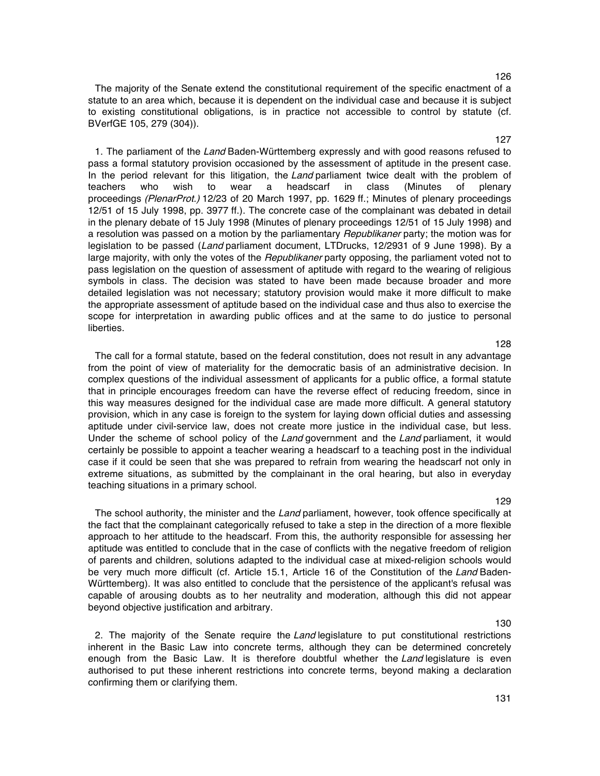127

The majority of the Senate extend the constitutional requirement of the specific enactment of a statute to an area which, because it is dependent on the individual case and because it is subject to existing constitutional obligations, is in practice not accessible to control by statute (cf. BVerfGE 105, 279 (304)).

1. The parliament of the Land Baden-Württemberg expressly and with good reasons refused to pass a formal statutory provision occasioned by the assessment of aptitude in the present case. In the period relevant for this litigation, the Land parliament twice dealt with the problem of teachers who wish to wear a headscarf in class (Minutes of plenary proceedings (PlenarProt.) 12/23 of 20 March 1997, pp. 1629 ff.; Minutes of plenary proceedings 12/51 of 15 July 1998, pp. 3977 ff.). The concrete case of the complainant was debated in detail in the plenary debate of 15 July 1998 (Minutes of plenary proceedings 12/51 of 15 July 1998) and a resolution was passed on a motion by the parliamentary *Republikaner* party; the motion was for legislation to be passed (Land parliament document, LTDrucks, 12/2931 of 9 June 1998). By a large majority, with only the votes of the Republikaner party opposing, the parliament voted not to pass legislation on the question of assessment of aptitude with regard to the wearing of religious symbols in class. The decision was stated to have been made because broader and more detailed legislation was not necessary; statutory provision would make it more difficult to make the appropriate assessment of aptitude based on the individual case and thus also to exercise the scope for interpretation in awarding public offices and at the same to do justice to personal liberties.

The call for a formal statute, based on the federal constitution, does not result in any advantage from the point of view of materiality for the democratic basis of an administrative decision. In complex questions of the individual assessment of applicants for a public office, a formal statute that in principle encourages freedom can have the reverse effect of reducing freedom, since in this way measures designed for the individual case are made more difficult. A general statutory provision, which in any case is foreign to the system for laying down official duties and assessing aptitude under civil-service law, does not create more justice in the individual case, but less. Under the scheme of school policy of the Land government and the Land parliament, it would certainly be possible to appoint a teacher wearing a headscarf to a teaching post in the individual case if it could be seen that she was prepared to refrain from wearing the headscarf not only in extreme situations, as submitted by the complainant in the oral hearing, but also in everyday teaching situations in a primary school.

The school authority, the minister and the Land parliament, however, took offence specifically at the fact that the complainant categorically refused to take a step in the direction of a more flexible approach to her attitude to the headscarf. From this, the authority responsible for assessing her aptitude was entitled to conclude that in the case of conflicts with the negative freedom of religion of parents and children, solutions adapted to the individual case at mixed-religion schools would be very much more difficult (cf. Article 15.1, Article 16 of the Constitution of the Land Baden-Württemberg). It was also entitled to conclude that the persistence of the applicant's refusal was capable of arousing doubts as to her neutrality and moderation, although this did not appear beyond objective justification and arbitrary.

2. The majority of the Senate require the Land legislature to put constitutional restrictions inherent in the Basic Law into concrete terms, although they can be determined concretely enough from the Basic Law. It is therefore doubtful whether the Land legislature is even authorised to put these inherent restrictions into concrete terms, beyond making a declaration confirming them or clarifying them.

128

#### 129

#### 131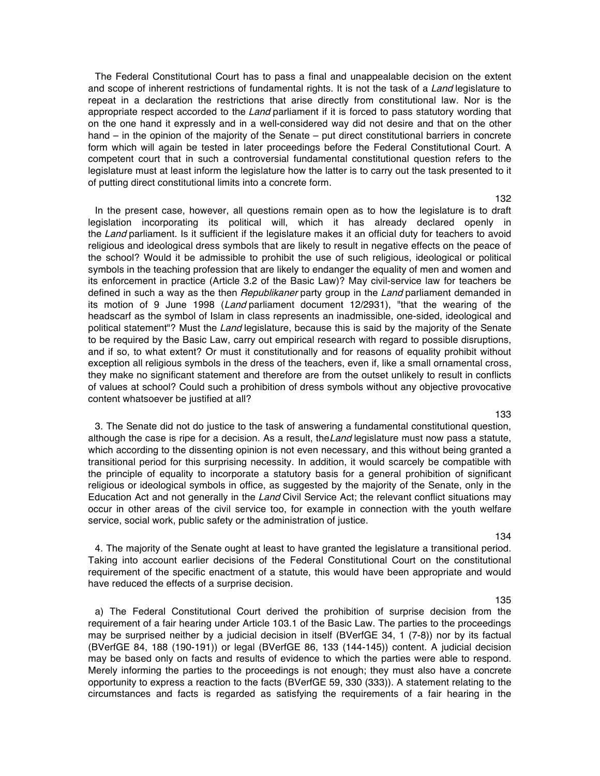The Federal Constitutional Court has to pass a final and unappealable decision on the extent and scope of inherent restrictions of fundamental rights. It is not the task of a Land legislature to repeat in a declaration the restrictions that arise directly from constitutional law. Nor is the appropriate respect accorded to the Land parliament if it is forced to pass statutory wording that on the one hand it expressly and in a well-considered way did not desire and that on the other hand – in the opinion of the majority of the Senate – put direct constitutional barriers in concrete form which will again be tested in later proceedings before the Federal Constitutional Court. A competent court that in such a controversial fundamental constitutional question refers to the legislature must at least inform the legislature how the latter is to carry out the task presented to it of putting direct constitutional limits into a concrete form.

In the present case, however, all questions remain open as to how the legislature is to draft legislation incorporating its political will, which it has already declared openly in the Land parliament. Is it sufficient if the legislature makes it an official duty for teachers to avoid religious and ideological dress symbols that are likely to result in negative effects on the peace of the school? Would it be admissible to prohibit the use of such religious, ideological or political symbols in the teaching profession that are likely to endanger the equality of men and women and its enforcement in practice (Article 3.2 of the Basic Law)? May civil-service law for teachers be defined in such a way as the then Republikaner party group in the Land parliament demanded in its motion of 9 June 1998 (Land parliament document 12/2931), "that the wearing of the headscarf as the symbol of Islam in class represents an inadmissible, one-sided, ideological and political statement"? Must the Land legislature, because this is said by the majority of the Senate to be required by the Basic Law, carry out empirical research with regard to possible disruptions, and if so, to what extent? Or must it constitutionally and for reasons of equality prohibit without exception all religious symbols in the dress of the teachers, even if, like a small ornamental cross, they make no significant statement and therefore are from the outset unlikely to result in conflicts of values at school? Could such a prohibition of dress symbols without any objective provocative content whatsoever be justified at all?

3. The Senate did not do justice to the task of answering a fundamental constitutional question, although the case is ripe for a decision. As a result, the Land legislature must now pass a statute, which according to the dissenting opinion is not even necessary, and this without being granted a transitional period for this surprising necessity. In addition, it would scarcely be compatible with the principle of equality to incorporate a statutory basis for a general prohibition of significant religious or ideological symbols in office, as suggested by the majority of the Senate, only in the Education Act and not generally in the Land Civil Service Act; the relevant conflict situations may occur in other areas of the civil service too, for example in connection with the youth welfare service, social work, public safety or the administration of justice.

134

135

4. The majority of the Senate ought at least to have granted the legislature a transitional period. Taking into account earlier decisions of the Federal Constitutional Court on the constitutional requirement of the specific enactment of a statute, this would have been appropriate and would have reduced the effects of a surprise decision.

a) The Federal Constitutional Court derived the prohibition of surprise decision from the requirement of a fair hearing under Article 103.1 of the Basic Law. The parties to the proceedings may be surprised neither by a judicial decision in itself (BVerfGE 34, 1 (7-8)) nor by its factual (BVerfGE 84, 188 (190-191)) or legal (BVerfGE 86, 133 (144-145)) content. A judicial decision may be based only on facts and results of evidence to which the parties were able to respond. Merely informing the parties to the proceedings is not enough; they must also have a concrete opportunity to express a reaction to the facts (BVerfGE 59, 330 (333)). A statement relating to the circumstances and facts is regarded as satisfying the requirements of a fair hearing in the

#### 133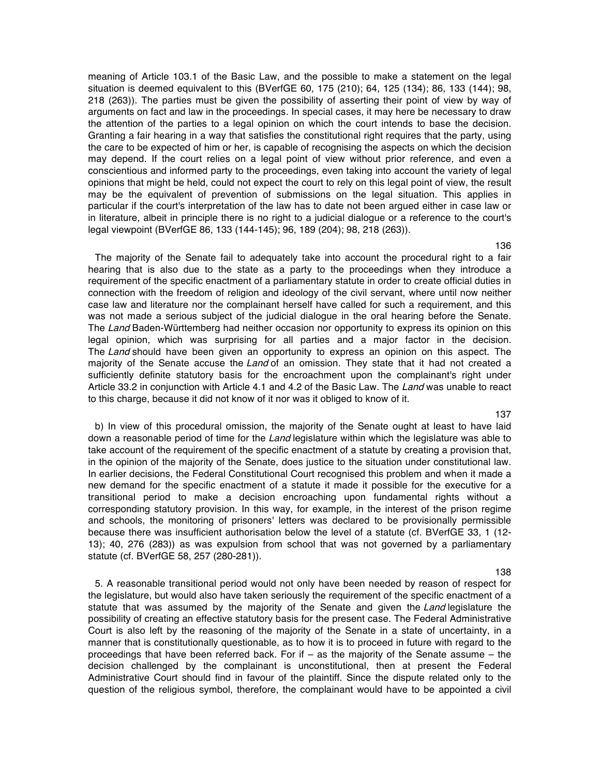meaning of Article 103.1 of the Basic Law, and the possible to make a statement on the legal situation is deemed equivalent to this (BVerfGE 60, 175 (210); 64, 125 (134); 86, 133 (144); 98, 218 (263)). The parties must be given the possibility of asserting their point of view by way of arguments on fact and law in the proceedings. In special cases, it may here be necessary to draw the attention of the parties to a legal opinion on which the court intends to base the decision. Granting a fair hearing in a way that satisfies the constitutional right requires that the party, using the care to be expected of him or her, is capable of recognising the aspects on which the decision may depend. If the court relies on a legal point of view without prior reference, and even a conscientious and informed party to the proceedings, even taking into account the variety of legal opinions that might be held, could not expect the court to rely on this legal point of view, the result may be the equivalent of prevention of submissions on the legal situation. This applies in particular if the court's interpretation of the law has to date not been argued either in case law or in literature, albeit in principle there is no right to a judicial dialogue or a reference to the court's legal viewpoint (BVerfGE 86, 133 (144-145); 96, 189 (204); 98, 218 (263)).

The majority of the Senate fail to adequately take into account the procedural right to a fair hearing that is also due to the state as a party to the proceedings when they introduce a requirement of the specific enactment of a parliamentary statute in order to create official duties in connection with the freedom of religion and ideology of the civil servant, where until now neither case law and literature nor the complainant herself have called for such a requirement, and this was not made a serious subject of the judicial dialogue in the oral hearing before the Senate. The Land Baden-Württemberg had neither occasion nor opportunity to express its opinion on this legal opinion, which was surprising for all parties and a major factor in the decision. The Land should have been given an opportunity to express an opinion on this aspect. The majority of the Senate accuse the Land of an omission. They state that it had not created a sufficiently definite statutory basis for the encroachment upon the complainant's right under Article 33.2 in conjunction with Article 4.1 and 4.2 of the Basic Law. The Land was unable to react to this charge, because it did not know of it nor was it obliged to know of it.

b) In view of this procedural omission, the majority of the Senate ought at least to have laid down a reasonable period of time for the Land legislature within which the legislature was able to take account of the requirement of the specific enactment of a statute by creating a provision that, in the opinion of the majority of the Senate, does justice to the situation under constitutional law. In earlier decisions, the Federal Constitutional Court recognised this problem and when it made a new demand for the specific enactment of a statute it made it possible for the executive for a transitional period to make a decision encroaching upon fundamental rights without a corresponding statutory provision. In this way, for example, in the interest of the prison regime and schools, the monitoring of prisoners' letters was declared to be provisionally permissible because there was insufficient authorisation below the level of a statute (cf. BVerfGE 33, 1 (12- 13); 40, 276 (283)) as was expulsion from school that was not governed by a parliamentary statute (cf. BVerfGE 58, 257 (280-281)).

5. A reasonable transitional period would not only have been needed by reason of respect for the legislature, but would also have taken seriously the requirement of the specific enactment of a statute that was assumed by the majority of the Senate and given the Land legislature the possibility of creating an effective statutory basis for the present case. The Federal Administrative Court is also left by the reasoning of the majority of the Senate in a state of uncertainty, in a manner that is constitutionally questionable, as to how it is to proceed in future with regard to the proceedings that have been referred back. For if – as the majority of the Senate assume – the decision challenged by the complainant is unconstitutional, then at present the Federal Administrative Court should find in favour of the plaintiff. Since the dispute related only to the question of the religious symbol, therefore, the complainant would have to be appointed a civil

#### 137

#### 138